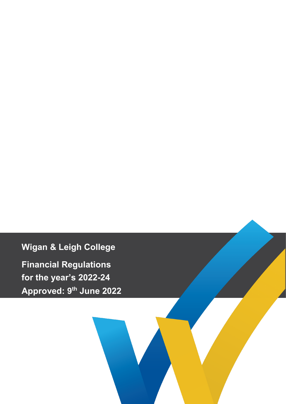**Wigan & Leigh College**

**Financial Regulations for the year's 2022-24 Approved: 9th June 2022**

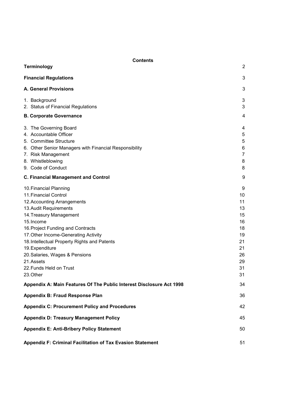| <b>Contents</b><br>2<br><b>Terminology</b>                                                                                                                                                                                                                                                                                                                                                                                                                      |                                                                                       |  |
|-----------------------------------------------------------------------------------------------------------------------------------------------------------------------------------------------------------------------------------------------------------------------------------------------------------------------------------------------------------------------------------------------------------------------------------------------------------------|---------------------------------------------------------------------------------------|--|
|                                                                                                                                                                                                                                                                                                                                                                                                                                                                 |                                                                                       |  |
| <b>Financial Regulations</b>                                                                                                                                                                                                                                                                                                                                                                                                                                    | 3                                                                                     |  |
| A. General Provisions                                                                                                                                                                                                                                                                                                                                                                                                                                           | 3                                                                                     |  |
| 1. Background<br>2. Status of Financial Regulations                                                                                                                                                                                                                                                                                                                                                                                                             | 3<br>3                                                                                |  |
| <b>B. Corporate Governance</b>                                                                                                                                                                                                                                                                                                                                                                                                                                  | 4                                                                                     |  |
| 3. The Governing Board<br>4. Accountable Officer<br>5. Committee Structure<br>6. Other Senior Managers with Financial Responsibility<br>7. Risk Management<br>8. Whistleblowing<br>9. Code of Conduct                                                                                                                                                                                                                                                           | 4<br>5<br>5<br>6<br>$\overline{7}$<br>8<br>8                                          |  |
| <b>C. Financial Management and Control</b>                                                                                                                                                                                                                                                                                                                                                                                                                      | 9                                                                                     |  |
| 10. Financial Planning<br>11. Financial Control<br>12. Accounting Arrangements<br>13. Audit Requirements<br>14. Treasury Management<br>15. Income<br>16. Project Funding and Contracts<br>17. Other Income-Generating Activity<br>18. Intellectual Property Rights and Patents<br>19. Expenditure<br>20. Salaries, Wages & Pensions<br>21.Assets<br>22. Funds Held on Trust<br>23.Other<br>Appendix A: Main Features Of The Public Interest Disclosure Act 1998 | 9<br>10<br>11<br>13<br>15<br>16<br>18<br>19<br>21<br>21<br>26<br>29<br>31<br>31<br>34 |  |
| <b>Appendix B: Fraud Response Plan</b>                                                                                                                                                                                                                                                                                                                                                                                                                          | 36                                                                                    |  |
|                                                                                                                                                                                                                                                                                                                                                                                                                                                                 |                                                                                       |  |
| <b>Appendix C: Procurement Policy and Procedures</b>                                                                                                                                                                                                                                                                                                                                                                                                            | 42                                                                                    |  |
| <b>Appendix D: Treasury Management Policy</b>                                                                                                                                                                                                                                                                                                                                                                                                                   | 45                                                                                    |  |
| <b>Appendix E: Anti-Bribery Policy Statement</b>                                                                                                                                                                                                                                                                                                                                                                                                                | 50                                                                                    |  |
| Appendiz F: Criminal Facilitation of Tax Evasion Statement                                                                                                                                                                                                                                                                                                                                                                                                      | 51                                                                                    |  |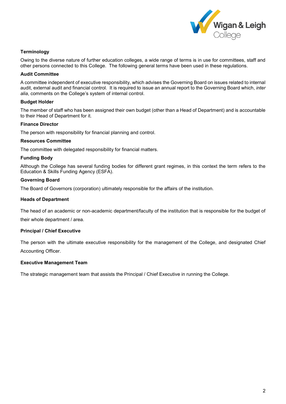

# <span id="page-2-0"></span>**Terminology**

Owing to the diverse nature of further education colleges, a wide range of terms is in use for committees, staff and other persons connected to this College. The following general terms have been used in these regulations.

### **Audit Committee**

A committee independent of executive responsibility, which advises the Governing Board on issues related to internal audit, external audit and financial control. It is required to issue an annual report to the Governing Board which, *inter alia*, comments on the College's system of internal control.

### **Budget Holder**

The member of staff who has been assigned their own budget (other than a Head of Department) and is accountable to their Head of Department for it.

### **Finance Director**

The person with responsibility for financial planning and control.

### **Resources Committee**

The committee with delegated responsibility for financial matters.

### **Funding Body**

Although the College has several funding bodies for different grant regimes, in this context the term refers to the Education & Skills Funding Agency (ESFA).

### **Governing Board**

The Board of Governors (corporation) ultimately responsible for the affairs of the institution.

### **Heads of Department**

The head of an academic or non-academic department/faculty of the institution that is responsible for the budget of their whole department / area.

# **Principal / Chief Executive**

The person with the ultimate executive responsibility for the management of the College, and designated Chief Accounting Officer.

### **Executive Management Team**

<span id="page-2-1"></span>The strategic management team that assists the Principal / Chief Executive in running the College.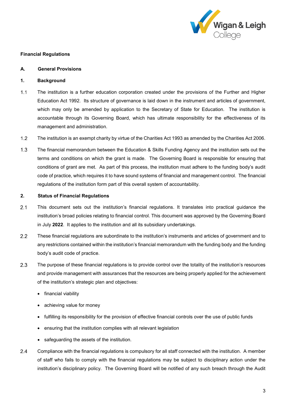

## **Financial Regulations**

## <span id="page-3-0"></span>**A. General Provisions**

## <span id="page-3-1"></span>**1. Background**

- $1.1$ The institution is a further education corporation created under the provisions of the Further and Higher Education Act 1992. Its structure of governance is laid down in the instrument and articles of government, which may only be amended by application to the Secretary of State for Education. The institution is accountable through its Governing Board, which has ultimate responsibility for the effectiveness of its management and administration.
- $1.2$ The institution is an exempt charity by virtue of the Charities Act 1993 as amended by the Charities Act 2006.
- $1.3$ The financial memorandum between the Education & Skills Funding Agency and the institution sets out the terms and conditions on which the grant is made. The Governing Board is responsible for ensuring that conditions of grant are met. As part of this process, the institution must adhere to the funding body's audit code of practice, which requires it to have sound systems of financial and management control. The financial regulations of the institution form part of this overall system of accountability.

### <span id="page-3-2"></span>**2. Status of Financial Regulations**

- $2.1$ This document sets out the institution's financial regulations. It translates into practical guidance the institution's broad policies relating to financial control. This document was approved by the Governing Board in July **2022**. It applies to the institution and all its subsidiary undertakings.
- $2.2$ These financial regulations are subordinate to the institution's instruments and articles of government and to any restrictions contained within the institution's financial memorandum with the funding body and the funding body's audit code of practice.
- $2.3$ The purpose of these financial regulations is to provide control over the totality of the institution's resources and provide management with assurances that the resources are being properly applied for the achievement of the institution's strategic plan and objectives:
	- financial viability
	- achieving value for money
	- fulfilling its responsibility for the provision of effective financial controls over the use of public funds
	- ensuring that the institution complies with all relevant legislation
	- safeguarding the assets of the institution.
- $2.4$ Compliance with the financial regulations is compulsory for all staff connected with the institution. A member of staff who fails to comply with the financial regulations may be subject to disciplinary action under the institution's disciplinary policy. The Governing Board will be notified of any such breach through the Audit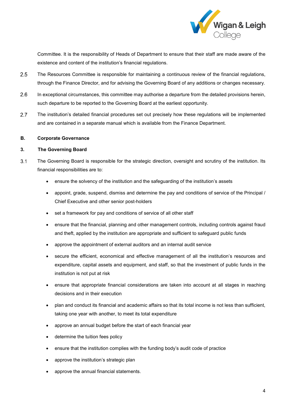

Committee. It is the responsibility of Heads of Department to ensure that their staff are made aware of the existence and content of the institution's financial regulations.

- $2.5$ The Resources Committee is responsible for maintaining a continuous review of the financial regulations, through the Finance Director, and for advising the Governing Board of any additions or changes necessary.
- $2.6$ In exceptional circumstances, this committee may authorise a departure from the detailed provisions herein, such departure to be reported to the Governing Board at the earliest opportunity.
- $2.7$ The institution's detailed financial procedures set out precisely how these regulations will be implemented and are contained in a separate manual which is available from the Finance Department.

### <span id="page-4-0"></span>**B. Corporate Governance**

# <span id="page-4-1"></span>**3. The Governing Board**

- $3.1$ The Governing Board is responsible for the strategic direction, oversight and scrutiny of the institution. Its financial responsibilities are to:
	- ensure the solvency of the institution and the safeguarding of the institution's assets
	- appoint, grade, suspend, dismiss and determine the pay and conditions of service of the Principal / Chief Executive and other senior post-holders
	- set a framework for pay and conditions of service of all other staff
	- ensure that the financial, planning and other management controls, including controls against fraud and theft, applied by the institution are appropriate and sufficient to safeguard public funds
	- approve the appointment of external auditors and an internal audit service
	- secure the efficient, economical and effective management of all the institution's resources and expenditure, capital assets and equipment, and staff, so that the investment of public funds in the institution is not put at risk
	- ensure that appropriate financial considerations are taken into account at all stages in reaching decisions and in their execution
	- plan and conduct its financial and academic affairs so that its total income is not less than sufficient, taking one year with another, to meet its total expenditure
	- approve an annual budget before the start of each financial year
	- determine the tuition fees policy
	- ensure that the institution complies with the funding body's audit code of practice
	- approve the institution's strategic plan
	- approve the annual financial statements.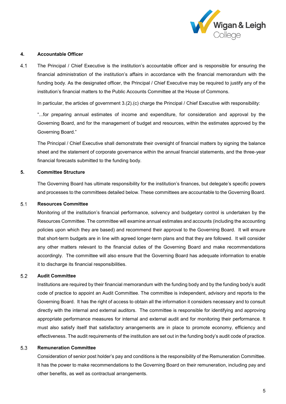

## <span id="page-5-0"></span>**4. Accountable Officer**

 $4.1$ The Principal / Chief Executive is the institution's accountable officer and is responsible for ensuring the financial administration of the institution's affairs in accordance with the financial memorandum with the funding body. As the designated officer, the Principal / Chief Executive may be required to justify any of the institution's financial matters to the Public Accounts Committee at the House of Commons.

In particular, the articles of government 3.(2).(c) charge the Principal / Chief Executive with responsibility:

"...for preparing annual estimates of income and expenditure, for consideration and approval by the Governing Board, and for the management of budget and resources, within the estimates approved by the Governing Board."

The Principal / Chief Executive shall demonstrate their oversight of financial matters by signing the balance sheet and the statement of corporate governance within the annual financial statements, and the three-year financial forecasts submitted to the funding body.

## <span id="page-5-1"></span>**5. Committee Structure**

The Governing Board has ultimate responsibility for the institution's finances, but delegate's specific powers and processes to the committees detailed below. These committees are accountable to the Governing Board.

#### $5.1$ **Resources Committee**

Monitoring of the institution's financial performance, solvency and budgetary control is undertaken by the Resources Committee. The committee will examine annual estimates and accounts (including the accounting policies upon which they are based) and recommend their approval to the Governing Board. It will ensure that short-term budgets are in line with agreed longer-term plans and that they are followed. It will consider any other matters relevant to the financial duties of the Governing Board and make recommendations accordingly. The committee will also ensure that the Governing Board has adequate information to enable it to discharge its financial responsibilities.

#### $5.2$ **Audit Committee**

Institutions are required by their financial memorandum with the funding body and by the funding body's audit code of practice to appoint an Audit Committee. The committee is independent, advisory and reports to the Governing Board. It has the right of access to obtain all the information it considers necessary and to consult directly with the internal and external auditors. The committee is responsible for identifying and approving appropriate performance measures for internal and external audit and for monitoring their performance. It must also satisfy itself that satisfactory arrangements are in place to promote economy, efficiency and effectiveness. The audit requirements of the institution are set out in the funding body's audit code of practice.

#### 5.3 **Remuneration Committee**

Consideration of senior post holder's pay and conditions is the responsibility of the Remuneration Committee. It has the power to make recommendations to the Governing Board on their remuneration, including pay and other benefits, as well as contractual arrangements.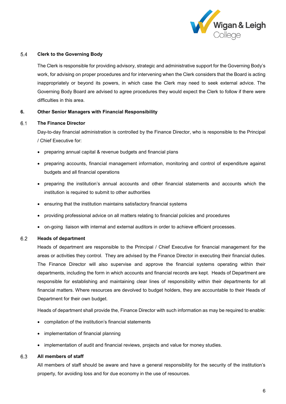

#### $5.4$ **Clerk to the Governing Body**

The Clerk is responsible for providing advisory, strategic and administrative support for the Governing Body's work, for advising on proper procedures and for intervening when the Clerk considers that the Board is acting inappropriately or beyond its powers, in which case the Clerk may need to seek external advice. The Governing Body Board are advised to agree procedures they would expect the Clerk to follow if there were difficulties in this area.

## <span id="page-6-0"></span>**6. Other Senior Managers with Financial Responsibility**

#### $6.1$ **The Finance Director**

Day-to-day financial administration is controlled by the Finance Director, who is responsible to the Principal / Chief Executive for:

- preparing annual capital & revenue budgets and financial plans
- preparing accounts, financial management information, monitoring and control of expenditure against budgets and all financial operations
- preparing the institution's annual accounts and other financial statements and accounts which the institution is required to submit to other authorities
- ensuring that the institution maintains satisfactory financial systems
- providing professional advice on all matters relating to financial policies and procedures
- on-going liaison with internal and external auditors in order to achieve efficient processes.

#### $6.2$ **Heads of department**

Heads of department are responsible to the Principal / Chief Executive for financial management for the areas or activities they control. They are advised by the Finance Director in executing their financial duties. The Finance Director will also supervise and approve the financial systems operating within their departments, including the form in which accounts and financial records are kept. Heads of Department are responsible for establishing and maintaining clear lines of responsibility within their departments for all financial matters. Where resources are devolved to budget holders, they are accountable to their Heads of Department for their own budget.

Heads of department shall provide the, Finance Director with such information as may be required to enable:

- compilation of the institution's financial statements
- implementation of financial planning
- implementation of audit and financial reviews, projects and value for money studies.

#### 6.3 **All members of staff**

All members of staff should be aware and have a general responsibility for the security of the institution's property, for avoiding loss and for due economy in the use of resources.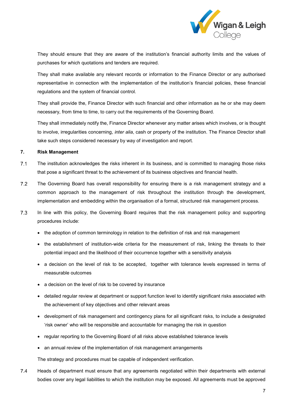

They should ensure that they are aware of the institution's financial authority limits and the values of purchases for which quotations and tenders are required.

They shall make available any relevant records or information to the Finance Director or any authorised representative in connection with the implementation of the institution's financial policies, these financial regulations and the system of financial control.

They shall provide the, Finance Director with such financial and other information as he or she may deem necessary, from time to time, to carry out the requirements of the Governing Board.

They shall immediately notify the, Finance Director whenever any matter arises which involves, or is thought to involve, irregularities concerning, *inter alia*, cash or property of the institution. The Finance Director shall take such steps considered necessary by way of investigation and report.

## <span id="page-7-0"></span>**7. Risk Management**

- $7.1$ The institution acknowledges the risks inherent in its business, and is committed to managing those risks that pose a significant threat to the achievement of its business objectives and financial health.
- $7.2$ The Governing Board has overall responsibility for ensuring there is a risk management strategy and a common approach to the management of risk throughout the institution through the development, implementation and embedding within the organisation of a formal, structured risk management process.
- $7.3$ In line with this policy, the Governing Board requires that the risk management policy and supporting procedures include:
	- the adoption of common terminology in relation to the definition of risk and risk management
	- the establishment of institution-wide criteria for the measurement of risk, linking the threats to their potential impact and the likelihood of their occurrence together with a sensitivity analysis
	- a decision on the level of risk to be accepted, together with tolerance levels expressed in terms of measurable outcomes
	- a decision on the level of risk to be covered by insurance
	- detailed regular review at department or support function level to identify significant risks associated with the achievement of key objectives and other relevant areas
	- development of risk management and contingency plans for all significant risks, to include a designated 'risk owner' who will be responsible and accountable for managing the risk in question
	- regular reporting to the Governing Board of all risks above established tolerance levels
	- an annual review of the implementation of risk management arrangements

The strategy and procedures must be capable of independent verification.

 $7.4$ Heads of department must ensure that any agreements negotiated within their departments with external bodies cover any legal liabilities to which the institution may be exposed. All agreements must be approved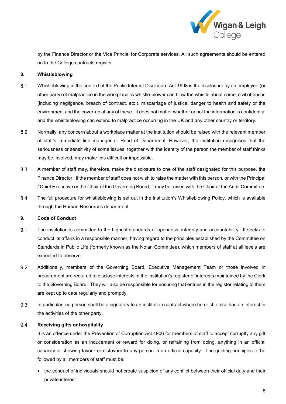

by the Finance Director or the Vice Princial for Corporate services. All such agreements should be entered on to the College contracts register

## <span id="page-8-0"></span>**8. Whistleblowing**

- $8.1$ Whistleblowing in the context of the Public Interest Disclosure Act 1998 is the disclosure by an employee (or other party) of malpractice in the workplace. A whistle-blower can blow the whistle about crime, civil offences (including negligence, breach of contract, etc.), miscarriage of justice, danger to health and safety or the environment and the cover-up of any of these. It does not matter whether or not the information is confidential and the whistleblowing can extend to malpractice occurring in the UK and any other country or territory.
- $8.2$ Normally, any concern about a workplace matter at the institution should be raised with the relevant member of staff's immediate line manager or Head of Department. However, the institution recognises that the seriousness or sensitivity of some issues, together with the identity of the person the member of staff thinks may be involved, may make this difficult or impossible.
- 8.3 A member of staff may, therefore, make the disclosure to one of the staff designated for this purpose, the Finance Director. If the member of staff does not wish to raise the matter with this person, or with the Principal / Chief Executive or the Chair of the Governing Board, it may be raised with the Chair of the Audit Committee.
- 8.4 The full procedure for whistleblowing is set out in the institution's Whistleblowing Policy, which is available through the Human Resources department.

## <span id="page-8-1"></span>**9. Code of Conduct**

- The institution is committed to the highest standards of openness, integrity and accountability. It seeks to  $9.1$ conduct its affairs in a responsible manner, having regard to the principles established by the Committee on Standards in Public Life (formerly known as the Nolan Committee), which members of staff at all levels are expected to observe.
- $9.2$ Additionally, members of the Governing Board, Executive Management Team or those involved in procurement are required to disclose interests in the institution's register of interests maintained by the Clerk to the Governing Board. They will also be responsible for ensuring that entries in the register relating to them are kept up to date regularly and promptly.
- 9.3 In particular, no person shall be a signatory to an institution contract where he or she also has an interest in the activities of the other party.

#### 9.4 **Receiving gifts or hospitality**

It is an offence under the Prevention of Corruption Act 1906 for members of staff to accept corruptly any gift or consideration as an inducement or reward for doing, or refraining from doing, anything in an official capacity or showing favour or disfavour to any person in an official capacity. The guiding principles to be followed by all members of staff must be:

• the conduct of individuals should not create suspicion of any conflict between their official duty and their private interest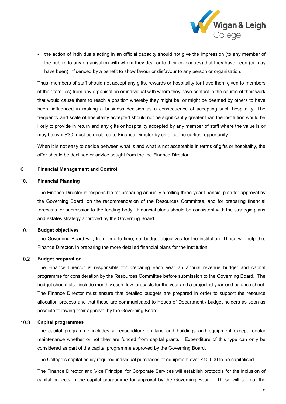

• the action of individuals acting in an official capacity should not give the impression (to any member of the public, to any organisation with whom they deal or to their colleagues) that they have been (or may have been) influenced by a benefit to show favour or disfavour to any person or organisation.

Thus, members of staff should not accept any gifts, rewards or hospitality (or have them given to members of their families) from any organisation or individual with whom they have contact in the course of their work that would cause them to reach a position whereby they might be, or might be deemed by others to have been, influenced in making a business decision as a consequence of accepting such hospitality. The frequency and scale of hospitality accepted should not be significantly greater than the institution would be likely to provide in return and any gifts or hospitality accepted by any member of staff where the value is or may be over £30 must be declared to Finance Director by email at the earliest opportunity.

When it is not easy to decide between what is and what is not acceptable in terms of gifts or hospitality, the offer should be declined or advice sought from the the Finance Director.

### <span id="page-9-0"></span>**C Financial Management and Control**

### <span id="page-9-1"></span>**10. Financial Planning**

The Finance Director is responsible for preparing annually a rolling three-year financial plan for approval by the Governing Board, on the recommendation of the Resources Committee, and for preparing financial forecasts for submission to the funding body. Financial plans should be consistent with the strategic plans and estates strategy approved by the Governing Board.

#### $10.1$ **Budget objectives**

The Governing Board will, from time to time, set budget objectives for the institution. These will help the, Finance Director, in preparing the more detailed financial plans for the institution.

#### $10.2$ **Budget preparation**

The Finance Director is responsible for preparing each year an annual revenue budget and capital programme for consideration by the Resources Committee before submission to the Governing Board. The budget should also include monthly cash flow forecasts for the year and a projected year-end balance sheet. The Finance Director must ensure that detailed budgets are prepared in order to support the resource allocation process and that these are communicated to Heads of Department / budget holders as soon as possible following their approval by the Governing Board.

#### $10.3$ **Capital programmes**

The capital programme includes all expenditure on land and buildings and equipment except regular maintenance whether or not they are funded from capital grants. Expenditure of this type can only be considered as part of the capital programme approved by the Governing Board.

The College's capital policy required individual purchases of equipment over £10,000 to be capitalised.

The Finance Director and Vice Principal for Corporate Services will establish protocols for the inclusion of capital projects in the capital programme for approval by the Governing Board. These will set out the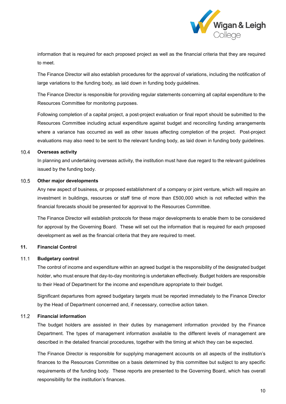

information that is required for each proposed project as well as the financial criteria that they are required to meet.

The Finance Director will also establish procedures for the approval of variations, including the notification of large variations to the funding body, as laid down in funding body guidelines.

The Finance Director is responsible for providing regular statements concerning all capital expenditure to the Resources Committee for monitoring purposes.

Following completion of a capital project, a post-project evaluation or final report should be submitted to the Resources Committee including actual expenditure against budget and reconciling funding arrangements where a variance has occurred as well as other issues affecting completion of the project. Post-project evaluations may also need to be sent to the relevant funding body, as laid down in funding body guidelines.

#### $10.4$ **Overseas activity**

In planning and undertaking overseas activity, the institution must have due regard to the relevant guidelines issued by the funding body.

#### $10.5$ **Other major developments**

Any new aspect of business, or proposed establishment of a company or joint venture, which will require an investment in buildings, resources or staff time of more than £500,000 which is not reflected within the financial forecasts should be presented for approval to the Resources Committee.

The Finance Director will establish protocols for these major developments to enable them to be considered for approval by the Governing Board. These will set out the information that is required for each proposed development as well as the financial criteria that they are required to meet.

# <span id="page-10-0"></span>**11. Financial Control**

#### $11.1$ **Budgetary control**

The control of income and expenditure within an agreed budget is the responsibility of the designated budget holder, who must ensure that day-to-day monitoring is undertaken effectively. Budget holders are responsible to their Head of Department for the income and expenditure appropriate to their budget.

Significant departures from agreed budgetary targets must be reported immediately to the Finance Director by the Head of Department concerned and, if necessary, corrective action taken.

#### $11.2$ **Financial information**

The budget holders are assisted in their duties by management information provided by the Finance Department. The types of management information available to the different levels of management are described in the detailed financial procedures, together with the timing at which they can be expected.

The Finance Director is responsible for supplying management accounts on all aspects of the institution's finances to the Resources Committee on a basis determined by this committee but subject to any specific requirements of the funding body. These reports are presented to the Governing Board, which has overall responsibility for the institution's finances.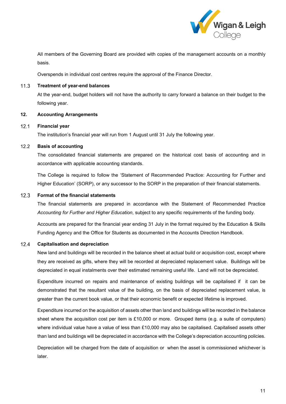

All members of the Governing Board are provided with copies of the management accounts on a monthly basis.

Overspends in individual cost centres require the approval of the Finance Director.

#### $11.3$ **Treatment of year-end balances**

At the year-end, budget holders will not have the authority to carry forward a balance on their budget to the following year.

### <span id="page-11-0"></span>**12. Accounting Arrangements**

#### $12.1$ **Financial year**

The institution's financial year will run from 1 August until 31 July the following year.

#### $12.2$ **Basis of accounting**

The consolidated financial statements are prepared on the historical cost basis of accounting and in accordance with applicable accounting standards.

The College is required to follow the 'Statement of Recommended Practice: Accounting for Further and Higher Education' (SORP), or any successor to the SORP in the preparation of their financial statements.

#### $12.3$ **Format of the financial statements**

The financial statements are prepared in accordance with the Statement of Recommended Practice *Accounting for Further and Higher Education*, subject to any specific requirements of the funding body.

Accounts are prepared for the financial year ending 31 July in the format required by the Education & Skills Funding Agency and the Office for Students as documented in the Accounts Direction Handbook.

#### $12.4$ **Capitalisation and depreciation**

New land and buildings will be recorded in the balance sheet at actual build or acquisition cost, except where they are received as gifts, where they will be recorded at depreciated replacement value. Buildings will be depreciated in equal instalments over their estimated remaining useful life. Land will not be depreciated.

Expenditure incurred on repairs and maintenance of existing buildings will be capitalised if it can be demonstrated that the resultant value of the building, on the basis of depreciated replacement value, is greater than the current book value, or that their economic benefit or expected lifetime is improved.

Expenditure incurred on the acquisition of assets other than land and buildings will be recorded in the balance sheet where the acquisition cost per item is £10,000 or more. Grouped items (e.g. a suite of computers) where individual value have a value of less than £10,000 may also be capitalised. Capitalised assets other than land and buildings will be depreciated in accordance with the College's depreciation accounting policies.

Depreciation will be charged from the date of acquisition or when the asset is commissioned whichever is later.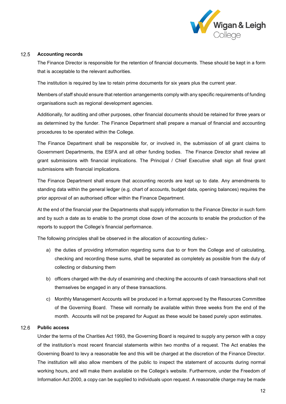

#### $12.5$ **Accounting records**

The Finance Director is responsible for the retention of financial documents. These should be kept in a form that is acceptable to the relevant authorities.

The institution is required by law to retain prime documents for six years plus the current year.

Members of staff should ensure that retention arrangements comply with any specific requirements of funding organisations such as regional development agencies.

Additionally, for auditing and other purposes, other financial documents should be retained for three years or as determined by the funder. The Finance Department shall prepare a manual of financial and accounting procedures to be operated within the College.

The Finance Department shall be responsible for, or involved in, the submission of all grant claims to Government Departments, the ESFA and all other funding bodies. The Finance Director shall review all grant submissions with financial implications. The Principal / Chief Executive shall sign all final grant submissions with financial implications.

The Finance Department shall ensure that accounting records are kept up to date. Any amendments to standing data within the general ledger (e.g. chart of accounts, budget data, opening balances) requires the prior approval of an authorised officer within the Finance Department.

At the end of the financial year the Departments shall supply information to the Finance Director in such form and by such a date as to enable to the prompt close down of the accounts to enable the production of the reports to support the College's financial performance.

The following principles shall be observed in the allocation of accounting duties:-

- a) the duties of providing information regarding sums due to or from the College and of calculating, checking and recording these sums, shall be separated as completely as possible from the duty of collecting or disbursing them
- b) officers charged with the duty of examining and checking the accounts of cash transactions shall not themselves be engaged in any of these transactions.
- c) Monthly Management Accounts will be produced in a format approved by the Resources Committee of the Governing Board. These will normally be available within three weeks from the end of the month. Accounts will not be prepared for August as these would be based purely upon estimates.

#### $12.6$ **Public access**

Under the terms of the Charities Act 1993, the Governing Board is required to supply any person with a copy of the institution's most recent financial statements within two months of a request. The Act enables the Governing Board to levy a reasonable fee and this will be charged at the discretion of the Finance Director. The institution will also allow members of the public to inspect the statement of accounts during normal working hours, and will make them available on the College's website. Furthermore, under the Freedom of Information Act 2000, a copy can be supplied to individuals upon request. A reasonable charge may be made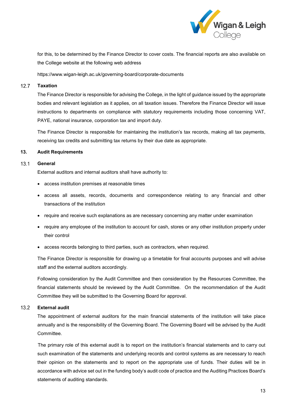

for this, to be determined by the Finance Director to cover costs. The financial reports are also available on the College website at the following web address

https://www.wigan-leigh.ac.uk/governing-board/corporate-documents

#### $12.7$ **Taxation**

The Finance Director is responsible for advising the College, in the light of guidance issued by the appropriate bodies and relevant legislation as it applies, on all taxation issues. Therefore the Finance Director will issue instructions to departments on compliance with statutory requirements including those concerning VAT, PAYE, national insurance, corporation tax and import duty.

The Finance Director is responsible for maintaining the institution's tax records, making all tax payments, receiving tax credits and submitting tax returns by their due date as appropriate.

## <span id="page-13-0"></span>**13. Audit Requirements**

#### $13.1$ **General**

External auditors and internal auditors shall have authority to:

- access institution premises at reasonable times
- access all assets, records, documents and correspondence relating to any financial and other transactions of the institution
- require and receive such explanations as are necessary concerning any matter under examination
- require any employee of the institution to account for cash, stores or any other institution property under their control
- access records belonging to third parties, such as contractors, when required.

The Finance Director is responsible for drawing up a timetable for final accounts purposes and will advise staff and the external auditors accordingly.

Following consideration by the Audit Committee and then consideration by the Resources Committee, the financial statements should be reviewed by the Audit Committee. On the recommendation of the Audit Committee they will be submitted to the Governing Board for approval.

#### $13.2$ **External audit**

The appointment of external auditors for the main financial statements of the institution will take place annually and is the responsibility of the Governing Board. The Governing Board will be advised by the Audit Committee.

The primary role of this external audit is to report on the institution's financial statements and to carry out such examination of the statements and underlying records and control systems as are necessary to reach their opinion on the statements and to report on the appropriate use of funds. Their duties will be in accordance with advice set out in the funding body's audit code of practice and the Auditing Practices Board's statements of auditing standards.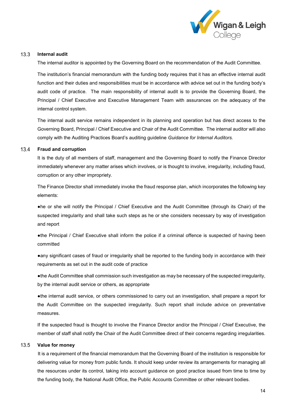

#### $13.3$ **Internal audit**

The internal auditor is appointed by the Governing Board on the recommendation of the Audit Committee.

The institution's financial memorandum with the funding body requires that it has an effective internal audit function and their duties and responsibilities must be in accordance with advice set out in the funding body's audit code of practice. The main responsibility of internal audit is to provide the Governing Board, the Principal / Chief Executive and Executive Management Team with assurances on the adequacy of the internal control system.

The internal audit service remains independent in its planning and operation but has direct access to the Governing Board, Principal / Chief Executive and Chair of the Audit Committee. The internal auditor will also comply with the Auditing Practices Board's auditing guideline *Guidance for Internal Auditors.*

#### $13.4$ **Fraud and corruption**

It is the duty of all members of staff, management and the Governing Board to notify the Finance Director immediately whenever any matter arises which involves, or is thought to involve, irregularity, including fraud, corruption or any other impropriety.

The Finance Director shall immediately invoke the fraud response plan, which incorporates the following key elements:

●he or she will notify the Principal / Chief Executive and the Audit Committee (through its Chair) of the suspected irregularity and shall take such steps as he or she considers necessary by way of investigation and report

●the Principal / Chief Executive shall inform the police if a criminal offence is suspected of having been committed

●any significant cases of fraud or irregularity shall be reported to the funding body in accordance with their requirements as set out in the audit code of practice

●the Audit Committee shall commission such investigation as may be necessary of the suspected irregularity, by the internal audit service or others, as appropriate

●the internal audit service, or others commissioned to carry out an investigation, shall prepare a report for the Audit Committee on the suspected irregularity. Such report shall include advice on preventative measures.

If the suspected fraud is thought to involve the Finance Director and/or the Principal / Chief Executive, the member of staff shall notify the Chair of the Audit Committee direct of their concerns regarding irregularities.

#### $13.5$ **Value for money**

It is a requirement of the financial memorandum that the Governing Board of the institution is responsible for delivering value for money from public funds. It should keep under review its arrangements for managing all the resources under its control, taking into account guidance on good practice issued from time to time by the funding body, the National Audit Office, the Public Accounts Committee or other relevant bodies.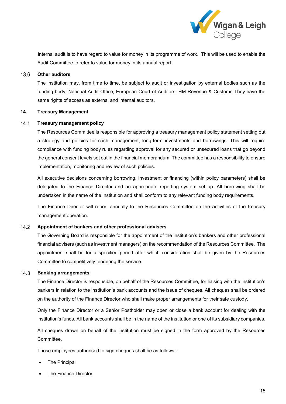

Internal audit is to have regard to value for money in its programme of work. This will be used to enable the Audit Committee to refer to value for money in its annual report.

#### $13.6$ **Other auditors**

The institution may, from time to time, be subject to audit or investigation by external bodies such as the funding body, National Audit Office, European Court of Auditors, HM Revenue & Customs They have the same rights of access as external and internal auditors.

## <span id="page-15-0"></span>**14. Treasury Management**

#### $14.1$ **Treasury management policy**

The Resources Committee is responsible for approving a treasury management policy statement setting out a strategy and policies for cash management, long-term investments and borrowings. This will require compliance with funding body rules regarding approval for any secured or unsecured loans that go beyond the general consent levels set out in the financial memorandum. The committee has a responsibility to ensure implementation, monitoring and review of such policies.

All executive decisions concerning borrowing, investment or financing (within policy parameters) shall be delegated to the Finance Director and an appropriate reporting system set up. All borrowing shall be undertaken in the name of the institution and shall conform to any relevant funding body requirements.

The Finance Director will report annually to the Resources Committee on the activities of the treasury management operation.

#### $14.2$ **Appointment of bankers and other professional advisers**

The Governing Board is responsible for the appointment of the institution's bankers and other professional financial advisers (such as investment managers) on the recommendation of the Resources Committee. The appointment shall be for a specified period after which consideration shall be given by the Resources Committee to competitively tendering the service.

#### $14.3$ **Banking arrangements**

The Finance Director is responsible, on behalf of the Resources Committee, for liaising with the institution's bankers in relation to the institution's bank accounts and the issue of cheques. All cheques shall be ordered on the authority of the Finance Director who shall make proper arrangements for their safe custody.

Only the Finance Director or a Senior Postholder may open or close a bank account for dealing with the institution's funds. All bank accounts shall be in the name of the institution or one of its subsidiary companies.

All cheques drawn on behalf of the institution must be signed in the form approved by the Resources Committee.

Those employees authorised to sign cheques shall be as follows:-

- **The Principal**
- The Finance Director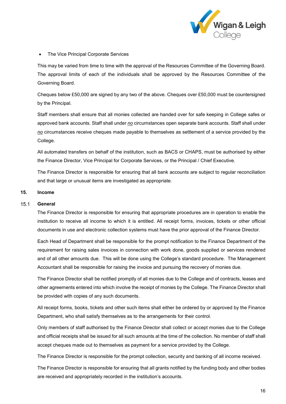

• The Vice Principal Corporate Services

This may be varied from time to time with the approval of the Resources Committee of the Governing Board. The approval limits of each of the individuals shall be approved by the Resources Committee of the Governing Board.

Cheques below £50,000 are signed by any two of the above. Cheques over £50,000 must be countersigned by the Principal.

Staff members shall ensure that all monies collected are handed over for safe keeping in College safes or approved bank accounts. Staff shall under *no* circumstances open separate bank accounts. Staff shall under *no* circumstances receive cheques made payable to themselves as settlement of a service provided by the College.

All automated transfers on behalf of the institution, such as BACS or CHAPS, must be authorised by either the Finance Director, Vice Principal for Corporate Services, or the Principal / Chief Executive.

The Finance Director is responsible for ensuring that all bank accounts are subject to regular reconciliation and that large or unusual items are investigated as appropriate.

# <span id="page-16-0"></span>**15. Income**

#### $15.1$ **General**

The Finance Director is responsible for ensuring that appropriate procedures are in operation to enable the institution to receive all income to which it is entitled. All receipt forms, invoices, tickets or other official documents in use and electronic collection systems must have the prior approval of the Finance Director.

Each Head of Department shall be responsible for the prompt notification to the Finance Department of the requirement for raising sales invoices in connection with work done, goods supplied or services rendered and of all other amounts due. This will be done using the College's standard procedure. The Management Accountant shall be responsible for raising the invoice and pursuing the recovery of monies due.

The Finance Director shall be notified promptly of all monies due to the College and of contracts, leases and other agreements entered into which involve the receipt of monies by the College. The Finance Director shall be provided with copies of any such documents.

All receipt forms, books, tickets and other such items shall either be ordered by or approved by the Finance Department, who shall satisfy themselves as to the arrangements for their control.

Only members of staff authorised by the Finance Director shall collect or accept monies due to the College and official receipts shall be issued for all such amounts at the time of the collection. No member of staff shall accept cheques made out to themselves as payment for a service provided by the College.

The Finance Director is responsible for the prompt collection, security and banking of all income received.

The Finance Director is responsible for ensuring that all grants notified by the funding body and other bodies are received and appropriately recorded in the institution's accounts.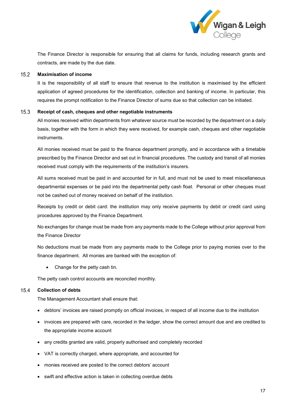

The Finance Director is responsible for ensuring that all claims for funds, including research grants and contracts, are made by the due date.

#### $15.2$ **Maximisation of income**

It is the responsibility of all staff to ensure that revenue to the institution is maximised by the efficient application of agreed procedures for the identification, collection and banking of income. In particular, this requires the prompt notification to the Finance Director of sums due so that collection can be initiated.

#### $15.3$ **Receipt of cash, cheques and other negotiable instruments**

All monies received within departments from whatever source must be recorded by the department on a daily basis, together with the form in which they were received, for example cash, cheques and other negotiable instruments.

All monies received must be paid to the finance department promptly, and in accordance with a timetable prescribed by the Finance Director and set out in financial procedures. The custody and transit of all monies received must comply with the requirements of the institution's insurers.

All sums received must be paid in and accounted for in full, and must not be used to meet miscellaneous departmental expenses or be paid into the departmental petty cash float. Personal or other cheques must not be cashed out of money received on behalf of the institution.

Receipts by credit or debit card: the institution may only receive payments by debit or credit card using procedures approved by the Finance Department.

No exchanges for change must be made from any payments made to the College without prior approval from the Finance Director

No deductions must be made from any payments made to the College prior to paying monies over to the finance department. All monies are banked with the exception of:

Change for the petty cash tin.

The petty cash control accounts are reconciled monthly.

#### $15.4$ **Collection of debts**

The Management Accountant shall ensure that:

- debtors' invoices are raised promptly on official invoices, in respect of all income due to the institution
- invoices are prepared with care, recorded in the ledger, show the correct amount due and are credited to the appropriate income account
- any credits granted are valid, properly authorised and completely recorded
- VAT is correctly charged, where appropriate, and accounted for
- monies received are posted to the correct debtors' account
- swift and effective action is taken in collecting overdue debts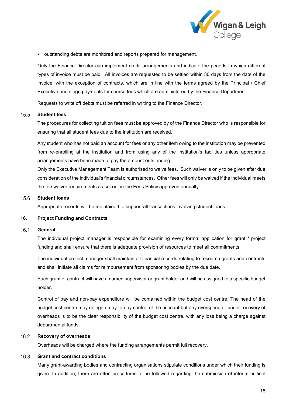

• outstanding debts are monitored and reports prepared for management.

Only the Finance Director can implement credit arrangements and indicate the periods in which different types of invoice must be paid. All invoices are requested to be settled within 30 days from the date of the invoice, with the exception of contracts, which are in line with the terms agreed by the Principal / Chief Executive and stage payments for course fees which are administered by the Finance Department.

Requests to write off debts must be referred in writing to the Finance Director.

#### $15.5$ **Student fees**

The procedures for collecting tuition fees must be approved by of the Finance Director who is responsible for ensuring that all student fees due to the institution are received.

Any student who has not paid an account for fees or any other item owing to the institution may be prevented from re-enrolling at the institution and from using any of the institution's facilities unless appropriate arrangements have been made to pay the amount outstanding.

Only the Executive Management Team is authorised to waive fees. Such waiver is only to be given after due consideration of the individual's financial circumstances. Other fees will only be waived if the individual meets the fee waiver requirements as set out in the Fees Policy approved annually.

#### **Student loans**  $15.6$

Appropriate records will be maintained to support all transactions involving student loans.

## <span id="page-18-0"></span>**16. Project Funding and Contracts**

#### $16.1$ **General**

The individual project manager is responsible for examining every formal application for grant / project funding and shall ensure that there is adequate provision of resources to meet all commitments.

The individual project manager shall maintain all financial records relating to research grants and contracts and shall initiate all claims for reimbursement from sponsoring bodies by the due date.

Each grant or contract will have a named supervisor or grant holder and will be assigned to a specific budget holder.

Control of pay and non-pay expenditure will be contained within the budget cost centre. The head of the budget cost centre may delegate day-to-day control of the account but any overspend or under-recovery of overheads is to be the clear responsibility of the budget cost centre, with any loss being a charge against departmental funds.

#### $16.2$ **Recovery of overheads**

Overheads will be charged where the funding arrangements permit full recovery.

#### $16.3$ **Grant and contract conditions**

Many grant-awarding bodies and contracting organisations stipulate conditions under which their funding is given. In addition, there are often procedures to be followed regarding the submission of interim or final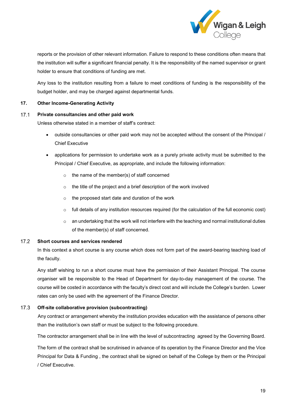

reports or the provision of other relevant information. Failure to respond to these conditions often means that the institution will suffer a significant financial penalty. It is the responsibility of the named supervisor or grant holder to ensure that conditions of funding are met.

Any loss to the institution resulting from a failure to meet conditions of funding is the responsibility of the budget holder, and may be charged against departmental funds.

## <span id="page-19-0"></span>**17. Other Income-Generating Activity**

#### $17.1$ **Private consultancies and other paid work**

Unless otherwise stated in a member of staff's contract:

- outside consultancies or other paid work may not be accepted without the consent of the Principal / Chief Executive
- applications for permission to undertake work as a purely private activity must be submitted to the Principal / Chief Executive, as appropriate, and include the following information:
	- $\circ$  the name of the member(s) of staff concerned
	- o the title of the project and a brief description of the work involved
	- $\circ$  the proposed start date and duration of the work
	- $\circ$  full details of any institution resources required (for the calculation of the full economic cost)
	- $\circ$  an undertaking that the work will not interfere with the teaching and normal institutional duties of the member(s) of staff concerned.

#### $17.2$ **Short courses and services rendered**

In this context a short course is any course which does not form part of the award-bearing teaching load of the faculty.

Any staff wishing to run a short course must have the permission of their Assistant Principal. The course organiser will be responsible to the Head of Department for day-to-day management of the course. The course will be costed in accordance with the faculty's direct cost and will include the College's burden. Lower rates can only be used with the agreement of the Finance Director.

#### $17.3$ **Off-site collaborative provision (subcontracting)**

Any contract or arrangement whereby the institution provides education with the assistance of persons other than the institution's own staff or must be subject to the following procedure.

The contractor arrangement shall be in line with the level of subcontracting agreed by the Governing Board.

The form of the contract shall be scrutinised in advance of its operation by the Finance Director and the Vice Principal for Data & Funding , the contract shall be signed on behalf of the College by them or the Principal / Chief Executive.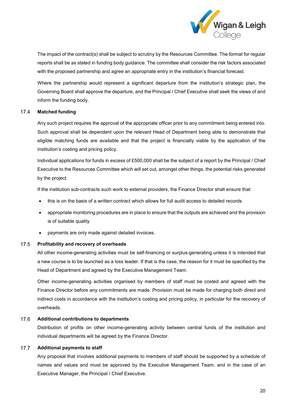

The impact of the contract(s) shall be subject to scrutiny by the Resources Committee. The format for regular reports shall be as stated in funding body guidance. The committee shall consider the risk factors associated with the proposed partnership and agree an appropriate entry in the institution's financial forecast.

Where the partnership would represent a significant departure from the institution's strategic plan, the Governing Board shall approve the departure, and the Principal / Chief Executive shall seek the views of and inform the funding body.

#### $17.4$ **Matched funding**

Any such project requires the approval of the appropriate officer prior to any commitment being entered into. Such approval shall be dependent upon the relevant Head of Department being able to demonstrate that eligible matching funds are available and that the project is financially viable by the application of the institution's costing and pricing policy.

Individual applications for funds in excess of £500,000 shall be the subject of a report by the Principal / Chief Executive to the Resources Committee which will set out, amongst other things, the potential risks generated by the project.

If the institution sub-contracts such work to external providers, the Finance Director shall ensure that:

- this is on the basis of a written contract which allows for full audit access to detailed records
- appropriate monitoring procedures are in place to ensure that the outputs are achieved and the provision is of suitable quality
- payments are only made against detailed invoices.

#### $17.5$ **Profitability and recovery of overheads**

All other income-generating activities must be self-financing or surplus-generating unless it is intended that a new course is to be launched as a loss leader. If that is the case, the reason for it must be specified by the Head of Department and agreed by the Executive Management Team.

Other income-generating activities organised by members of staff must be costed and agreed with the Finance Director before any commitments are made. Provision must be made for charging both direct and indirect costs in accordance with the institution's costing and pricing policy, in particular for the recovery of overheads.

#### $17.6$ **Additional contributions to departments**

Distribution of profits on other income-generating activity between central funds of the institution and individual departments will be agreed by the Finance Director.

#### $17.7$ **Additional payments to staff**

Any proposal that involves additional payments to members of staff should be supported by a schedule of names and values and must be approved by the Executive Management Team, and in the case of an Executive Manager, the Principal / Chief Executive.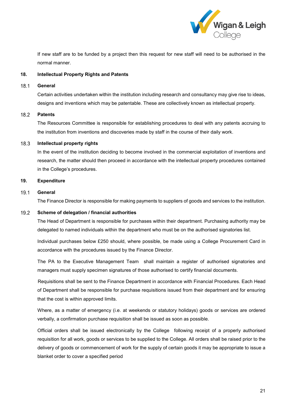

If new staff are to be funded by a project then this request for new staff will need to be authorised in the normal manner.

## <span id="page-21-0"></span>**18. Intellectual Property Rights and Patents**

#### $18.1$ **General**

Certain activities undertaken within the institution including research and consultancy may give rise to ideas, designs and inventions which may be patentable. These are collectively known as intellectual property.

#### 18.2 **Patents**

The Resources Committee is responsible for establishing procedures to deal with any patents accruing to the institution from inventions and discoveries made by staff in the course of their daily work.

#### $18.3$ **Intellectual property rights**

In the event of the institution deciding to become involved in the commercial exploitation of inventions and research, the matter should then proceed in accordance with the intellectual property procedures contained in the College's procedures.

## <span id="page-21-1"></span>**19. Expenditure**

#### $19.1$ **General**

The Finance Director is responsible for making payments to suppliers of goods and services to the institution.

#### 19.2 **Scheme of delegation / financial authorities**

The Head of Department is responsible for purchases within their department. Purchasing authority may be delegated to named individuals within the department who must be on the authorised signatories list.

Individual purchases below £250 should, where possible, be made using a College Procurement Card in accordance with the procedures issued by the Finance Director.

The PA to the Executive Management Team shall maintain a register of authorised signatories and managers must supply specimen signatures of those authorised to certify financial documents.

Requisitions shall be sent to the Finance Department in accordance with Financial Procedures. Each Head of Department shall be responsible for purchase requisitions issued from their department and for ensuring that the cost is within approved limits.

Where, as a matter of emergency (i.e. at weekends or statutory holidays) goods or services are ordered verbally, a confirmation purchase requisition shall be issued as soon as possible.

Official orders shall be issued electronically by the College following receipt of a properly authorised requisition for all work, goods or services to be supplied to the College. All orders shall be raised prior to the delivery of goods or commencement of work for the supply of certain goods it may be appropriate to issue a blanket order to cover a specified period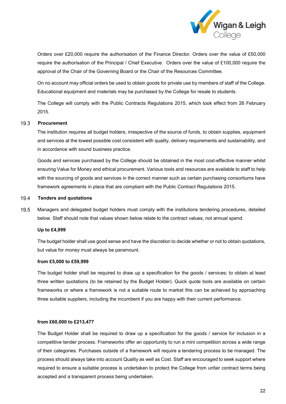

Orders over £20,000 require the authorisation of the Finance Director. Orders over the value of £50,000 require the authorisation of the Principal / Chief Executive. Orders over the value of £100,000 require the approval of the Chair of the Governing Board or the Chair of the Resources Committee.

On no account may official orders be used to obtain goods for private use by members of staff of the College. Educational equipment and materials may be purchased by the College for resale to students.

The College will comply with the Public Contracts Regulations 2015, which took effect from 26 February 2015.

#### $19.3$ **Procurement**

The institution requires all budget holders, irrespective of the source of funds, to obtain supplies, equipment and services at the lowest possible cost consistent with quality, delivery requirements and sustainability, and in accordance with sound business practice.

Goods and services purchased by the College should be obtained in the most cost-effective manner whilst ensuring Value for Money and ethical procurement. Various tools and resources are available to staff to help with the sourcing of goods and services in the correct manner such as certain purchasing consortiums have framework agreements in place that are compliant with the Public Contract Regulations 2015.

#### $19.4$ **Tenders and quotations**

19.5 Managers and delegated budget holders must comply with the institutions tendering procedures, detailed below. Staff should note that values shown below relate to the contract values, not annual spend.

## **Up to £4,999**

The budget holder shall use good sense and have the discretion to decide whether or not to obtain quotations, but value for money must always be paramount.

### **from £5,000 to £59,999**

The budget holder shall be required to draw up a specification for the goods / services; to obtain at least three written quotations (to be retained by the Budget Holder). Quick quote tools are available on certain frameworks or where a framework is not a suitable route to market this can be achieved by approaching three suitable suppliers, including the incumbent if you are happy with their current performance.

### **from £60,000 to £213,477**

The Budget Holder shall be required to draw up a specification for the goods / service for inclusion in a competitive tender process. Frameworks offer an opportunity to run a mini competition across a wide range of their categories. Purchases outside of a framework will require a tendering process to be managed. The process should always take into account Quality as well as Cost. Staff are encouraged to seek support where required to ensure a suitable process is undertaken to protect the College from unfair contract terms being accepted and a transparent process being undertaken.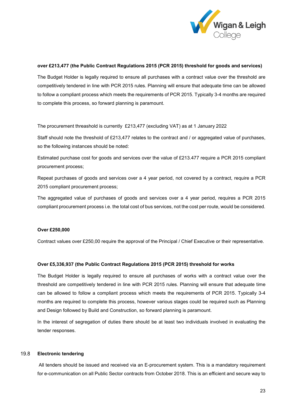

## **over £213,477 (the Public Contract Regulations 2015 (PCR 2015) threshold for goods and services)**

The Budget Holder is legally required to ensure all purchases with a contract value over the threshold are competitively tendered in line with PCR 2015 rules. Planning will ensure that adequate time can be allowed to follow a compliant process which meets the requirements of PCR 2015. Typically 3-4 months are required to complete this process, so forward planning is paramount.

The procurement threashold is currently £213,477 (excluding VAT) as at 1 January 2022

Staff should note the threshold of £213,477 relates to the contract and / or aggregated value of purchases, so the following instances should be noted:

Estimated purchase cost for goods and services over the value of £213.477 require a PCR 2015 compliant procurement process;

Repeat purchases of goods and services over a 4 year period, not covered by a contract, require a PCR 2015 compliant procurement process;

The aggregated value of purchases of goods and services over a 4 year period, requires a PCR 2015 compliant procurement process i.e. the total cost of bus services, not the cost per route, would be considered.

## **Over £250,000**

Contract values over £250,00 require the approval of the Principal / Chief Executive or their representative.

### **Over £5,336,937 (the Public Contract Regulations 2015 (PCR 2015) threshold for works**

The Budget Holder is legally required to ensure all purchases of works with a contract value over the threshold are competitively tendered in line with PCR 2015 rules. Planning will ensure that adequate time can be allowed to follow a compliant process which meets the requirements of PCR 2015. Typically 3-4 months are required to complete this process, however various stages could be required such as Planning and Design followed by Build and Construction, so forward planning is paramount.

In the interest of segregation of duties there should be at least two individuals involved in evaluating the tender responses.

#### 19.8 **Electronic tendering**

All tenders should be issued and received via an E-procurement system. This is a mandatory requirement for e-communication on all Public Sector contracts from October 2018. This is an efficient and secure way to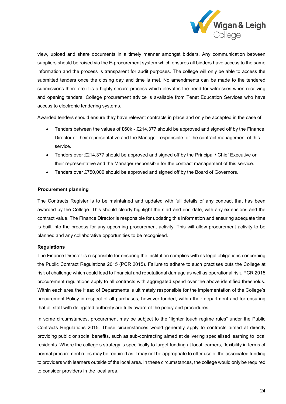

view, upload and share documents in a timely manner amongst bidders. Any communication between suppliers should be raised via the E-procurement system which ensures all bidders have access to the same information and the process is transparent for audit purposes. The college will only be able to access the submitted tenders once the closing day and time is met. No amendments can be made to the tendered submissions therefore it is a highly secure process which elevates the need for witnesses when receiving and opening tenders. College procurement advice is available from Tenet Education Services who have access to electronic tendering systems.

Awarded tenders should ensure they have relevant contracts in place and only be accepted in the case of;

- Tenders between the values of £60k £214,377 should be approved and signed off by the Finance Director or their representative and the Manager responsible for the contract management of this service.
- Tenders over £214,377 should be approved and signed off by the Principal / Chief Executive or their representative and the Manager responsible for the contract management of this service.
- Tenders over £750,000 should be approved and signed off by the Board of Governors.

### **Procurement planning**

The Contracts Register is to be maintained and updated with full details of any contract that has been awarded by the College. This should clearly highlight the start and end date, with any extensions and the contract value. The Finance Director is responsible for updating this information and ensuring adequate time is built into the process for any upcoming procurement activity. This will allow procurement activity to be planned and any collaborative opportunities to be recognised.

### **Regulations**

The Finance Director is responsible for ensuring the institution complies with its legal obligations concerning the Public Contract Regulations 2015 (PCR 2015). Failure to adhere to such practises puts the College at risk of challenge which could lead to financial and reputational damage as well as operational risk. PCR 2015 procurement regulations apply to all contracts with aggregated spend over the above identified thresholds. Within each area the Head of Departments is ultimately responsible for the implementation of the College's procurement Policy in respect of all purchases, however funded, within their department and for ensuring that all staff with delegated authority are fully aware of the policy and procedures.

In some circumstances, procurement may be subject to the "lighter touch regime rules" under the Public Contracts Regulations 2015. These circumstances would generally apply to contracts aimed at directly providing public or social benefits, such as sub-contracting aimed at delivering specialised learning to local residents. Where the college's strategy is specifically to target funding at local learners, flexibility in terms of normal procurement rules may be required as it may not be appropriate to offer use of the associated funding to providers with learners outside of the local area. In these circumstances, the college would only be required to consider providers in the local area.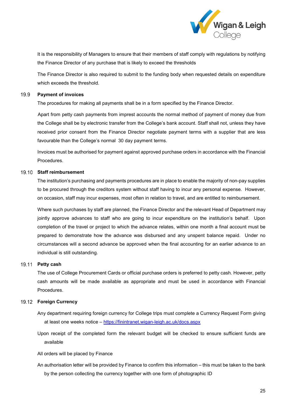

It is the responsibility of Managers to ensure that their members of staff comply with regulations by notifying the Finance Director of any purchase that is likely to exceed the thresholds

The Finance Director is also required to submit to the funding body when requested details on expenditure which exceeds the threshold.

#### 19.9 **Payment of invoices**

The procedures for making all payments shall be in a form specified by the Finance Director.

Apart from petty cash payments from imprest accounts the normal method of payment of money due from the College shall be by electronic transfer from the College's bank account. Staff shall not, unless they have received prior consent from the Finance Director negotiate payment terms with a supplier that are less favourable than the College's normal 30 day payment terms.

Invoices must be authorised for payment against approved purchase orders in accordance with the Financial Procedures.

### **Staff reimbursement**

The institution's purchasing and payments procedures are in place to enable the majority of non-pay supplies to be procured through the creditors system without staff having to incur any personal expense. However, on occasion, staff may incur expenses, most often in relation to travel, and are entitled to reimbursement.

Where such purchases by staff are planned, the Finance Director and the relevant Head of Department may jointly approve advances to staff who are going to incur expenditure on the institution's behalf. Upon completion of the travel or project to which the advance relates, within one month a final account must be prepared to demonstrate how the advance was disbursed and any unspent balance repaid. Under no circumstances will a second advance be approved when the final accounting for an earlier advance to an individual is still outstanding.

### 19.11 **Petty cash**

The use of College Procurement Cards or official purchase orders is preferred to petty cash. However, petty cash amounts will be made available as appropriate and must be used in accordance with Financial Procedures.

## **Foreign Currency**

- Any department requiring foreign currency for College trips must complete a Currency Request Form giving at least one weeks notice – <https://finintranet.wigan-leigh.ac.uk/docs.aspx>
- Upon receipt of the completed form the relevant budget will be checked to ensure sufficient funds are available

All orders will be placed by Finance

An authorisation letter will be provided by Finance to confirm this information – this must be taken to the bank by the person collecting the currency together with one form of photographic ID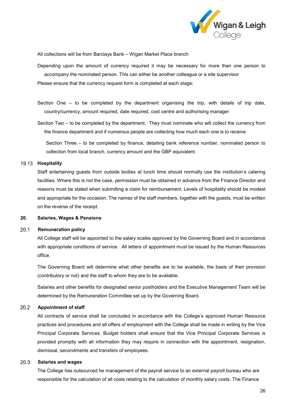

All collections will be from Barclays Bank – Wigan Market Place branch

Depending upon the amount of currency required it may be necessary for more than one person to accompany the nominated person. This can either be another colleague or a site supervisor Please ensure that the currency request form is completed at each stage;

Section One – to be completed by the department organising the trip, with details of trip date, country/currency, amount required, date required, cost centre and authorising manager

Section Two – to be completed by the department. They must nominate who will collect the currency from the finance department and if numerous people are collecting how much each one is to receive

Section Three – to be completed by finance, detailing bank reference number, nominated person to collection from local branch, currency amount and the GBP equivalent.

## **Hospitality**

Staff entertaining guests from outside bodies at lunch time should normally use the institution's catering facilities. Where this is not the case, permission must be obtained in advance from the Finance Director and reasons must be stated when submitting a claim for reimbursement. Levels of hospitality should be modest and appropriate for the occasion. The names of the staff members, together with the guests, must be written on the reverse of the receipt.

## <span id="page-26-0"></span>**20. Salaries, Wages & Pensions**

#### $20.1$ **Remuneration policy**

All College staff will be appointed to the salary scales approved by the Governing Board and in accordance with appropriate conditions of service. All letters of appointment must be issued by the Human Resources office.

The Governing Board will determine what other benefits are to be available, the basis of their provision (contributory or not) and the staff to whom they are to be available.

Salaries and other benefits for designated senior postholders and the Executive Management Team will be determined by the Remuneration Committee set up by the Governing Board.

#### $20.2$ **Appointment of staff**

All contracts of service shall be concluded in accordance with the College's approved Human Resource practices and procedures and all offers of employment with the College shall be made in writing by the Vice Principal Corporate Services. Budget holders shall ensure that the Vice Principal Corporate Services is provided promptly with all information they may require in connection with the appointment, resignation, dismissal, secondments and transfers of employees.

#### 20.3 **Salaries and wages**

The College has outsourced he management of the payroll service to an external payroll bureau who are responsible for the calculation of all costs relating to the calculation of monthly salary costs. The Finance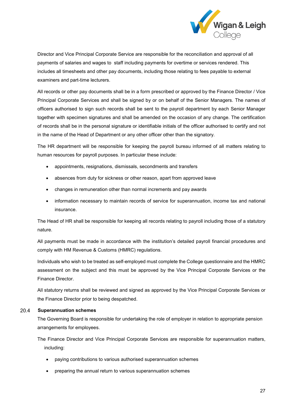

Director and Vice Principal Corporate Service are responsible for the reconciliation and approval of all payments of salaries and wages to staff including payments for overtime or services rendered. This includes all timesheets and other pay documents, including those relating to fees payable to external examiners and part-time lecturers.

All records or other pay documents shall be in a form prescribed or approved by the Finance Director / Vice Principal Corporate Services and shall be signed by or on behalf of the Senior Managers. The names of officers authorised to sign such records shall be sent to the payroll department by each Senior Manager together with specimen signatures and shall be amended on the occasion of any change. The certification of records shall be in the personal signature or identifiable initials of the officer authorised to certify and not in the name of the Head of Department or any other officer other than the signatory.

The HR department will be responsible for keeping the payroll bureau informed of all matters relating to human resources for payroll purposes. In particular these include:

- appointments, resignations, dismissals, secondments and transfers
- absences from duty for sickness or other reason, apart from approved leave
- changes in remuneration other than normal increments and pay awards
- information necessary to maintain records of service for superannuation, income tax and national insurance.

The Head of HR shall be responsible for keeping all records relating to payroll including those of a statutory nature.

All payments must be made in accordance with the institution's detailed payroll financial procedures and comply with HM Revenue & Customs (HMRC) regulations.

Individuals who wish to be treated as self-employed must complete the College questionnaire and the HMRC assessment on the subject and this must be approved by the Vice Principal Corporate Services or the Finance Director.

All statutory returns shall be reviewed and signed as approved by the Vice Principal Corporate Services or the Finance Director prior to being despatched.

#### 20.4 **Superannuation schemes**

The Governing Board is responsible for undertaking the role of employer in relation to appropriate pension arrangements for employees.

The Finance Director and Vice Principal Corporate Services are responsible for superannuation matters, including:

- paying contributions to various authorised superannuation schemes
- preparing the annual return to various superannuation schemes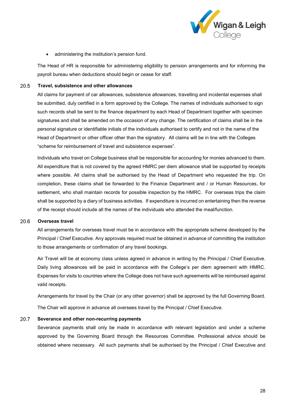

• administering the institution's pension fund.

The Head of HR is responsible for administering eligibility to pension arrangements and for informing the payroll bureau when deductions should begin or cease for staff.

#### 20.5 **Travel, subsistence and other allowances**

All claims for payment of car allowances, subsistence allowances, travelling and incidental expenses shall be submitted, duly certified in a form approved by the College. The names of individuals authorised to sign such records shall be sent to the finance department by each Head of Department together with specimen signatures and shall be amended on the occasion of any change. The certification of claims shall be in the personal signature or identifiable initials of the individuals authorised to certify and not in the name of the Head of Department or other officer other than the signatory. All claims will be in line with the Colleges "scheme for reimbursement of travel and subsistence expenses".

Individuals who travel on College business shall be responsible for accounting for monies advanced to them. All expenditure that is not covered by the agreed HMRC per diem allowance shall be supported by receipts where possible. All claims shall be authorised by the Head of Department who requested the trip. On completion, these claims shall be forwarded to the Finance Department and / or Human Resources, for settlement, who shall maintain records for possible inspection by the HMRC. For overseas trips the claim shall be supported by a diary of business activities. If expenditure is incurred on entertaining then the reverse of the receipt should include all the names of the individuals who attended the meal/function.

#### 20.6 **Overseas travel**

All arrangements for overseas travel must be in accordance with the appropriate scheme developed by the Principal / Chief Executive. Any approvals required must be obtained in advance of committing the institution to those arrangements or confirmation of any travel bookings.

Air Travel will be at economy class unless agreed in advance in writing by the Principal / Chief Executive. Daily living allowances will be paid in accordance with the College's per diem agreement with HMRC. Expenses for visits to countries where the College does not have such agreements will be reimbursed against valid receipts.

Arrangements for travel by the Chair (or any other governor) shall be approved by the full Governing Board. The Chair will approve in advance all oversees travel by the Principal / Chief Executive.

#### 20.7 **Severance and other non-recurring payments**

Severance payments shall only be made in accordance with relevant legislation and under a scheme approved by the Governing Board through the Resources Committee. Professional advice should be obtained where necessary. All such payments shall be authorised by the Principal / Chief Executive and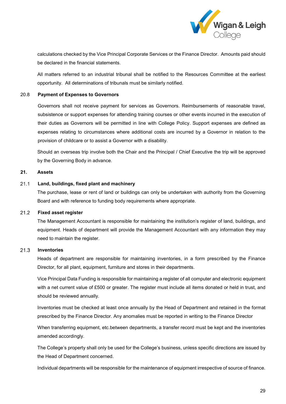

calculations checked by the Vice Principal Corporate Services or the Finance Director. Amounts paid should be declared in the financial statements.

All matters referred to an industrial tribunal shall be notified to the Resources Committee at the earliest opportunity. All determinations of tribunals must be similarly notified.

## 20.8 **Payment of Expenses to Governors**

Governors shall not receive payment for services as Governors. Reimbursements of reasonable travel, subsistence or support expenses for attending training courses or other events incurred in the execution of their duties as Governors will be permitted in line with College Policy. Support expenses are defined as expenses relating to circumstances where additional costs are incurred by a Governor in relation to the provision of childcare or to assist a Governor with a disability.

Should an overseas trip involve both the Chair and the Principal / Chief Executive the trip will be approved by the Governing Body in advance.

## <span id="page-29-0"></span>**21. Assets**

#### $21.1$ **Land, buildings, fixed plant and machinery**

The purchase, lease or rent of land or buildings can only be undertaken with authority from the Governing Board and with reference to funding body requirements where appropriate.

#### $21.2$ **Fixed asset register**

The Management Accountant is responsible for maintaining the institution's register of land, buildings, and equipment. Heads of department will provide the Management Accountant with any information they may need to maintain the register.

#### $21.3$ **Inventories**

Heads of department are responsible for maintaining inventories, in a form prescribed by the Finance Director, for all plant, equipment, furniture and stores in their departments.

Vice Principal Data Funding is responsible for maintaining a register of all computer and electronic equipment with a net current value of £500 or greater. The register must include all items donated or held in trust, and should be reviewed annually.

Inventories must be checked at least once annually by the Head of Department and retained in the format prescribed by the Finance Director. Any anomalies must be reported in writing to the Finance Director

When transferring equipment, etc.between departments, a transfer record must be kept and the inventories amended accordingly.

The College's property shall only be used for the College's business, unless specific directions are issued by the Head of Department concerned.

Individual departments will be responsible for the maintenance of equipment irrespective of source of finance.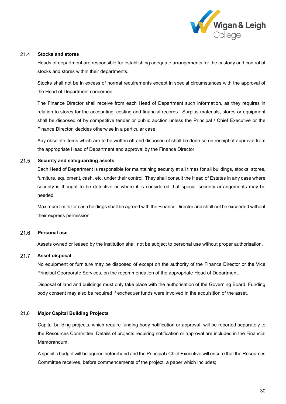

#### $21.4$ **Stocks and stores**

Heads of department are responsible for establishing adequate arrangements for the custody and control of stocks and stores within their departments.

Stocks shall not be in excess of normal requirements except in special circumstances with the approval of the Head of Department concerned.

The Finance Director shall receive from each Head of Department such information, as they requires in relation to stores for the accounting, costing and financial records. Surplus materials, stores or equipment shall be disposed of by competitive tender or public auction unless the Principal / Chief Executive or the Finance Director decides otherwise in a particular case.

Any obsolete items which are to be written off and disposed of shall be done so on receipt of approval from the appropriate Head of Department and approval by the Finance Director

#### $21.5$ **Security and safeguarding assets**

Each Head of Department is responsible for maintaining security at all times for all buildings, stocks, stores, furniture, equipment, cash, etc. under their control. They shall consult the Head of Estates in any case where security is thought to be defective or where it is considered that special security arrangements may be needed.

Maximum limits for cash holdings shall be agreed with the Finance Director and shall not be exceeded without their express permission.

#### 21.6 **Personal use**

Assets owned or leased by the institution shall not be subject to personal use without proper authorisation.

#### $21.7$ **Asset disposal**

No equipment or furniture may be disposed of except on the authority of the Finance Director or the Vice Principal Coorporate Services, on the recommendation of the appropriate Head of Department.

Disposal of land and buildings must only take place with the authorisation of the Governing Board. Funding body consent may also be required if exchequer funds were involved in the acquisition of the asset.

## 21.8 **Major Capital Building Projects**

Capital building projects, which require funding body notification or approval, will be reported separately to the Resources Committee. Details of projects requiring notification or approval are included in the Financial Memorandum.

A specific budget will be agreed beforehand and the Principal / Chief Executive will ensure that the Resources Committee receives, before commencements of the project, a paper which includes;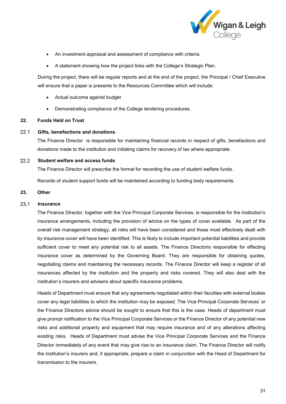

- An investment appraisal and assessment of compliance with criteria.
- A statement showing how the project links with the College's Strategic Plan.

During the project, there will be regular reports and at the end of the project, the Principal / Chief Executive will ensure that a paper is presents to the Resources Committee which will include:

- Actual outcome against budget
- Demonstrating compliance of the College tendering procedures.

## <span id="page-31-0"></span>**22. Funds Held on Trust**

#### $22.1$ **Gifts, benefactions and donations**

The Finance Director is responsible for maintaining financial records in respect of gifts, benefactions and donations made to the institution and initiating claims for recovery of tax where appropriate.

#### $22.2$ **Student welfare and access funds**

The Finance Director will prescribe the format for recording the use of student welfare funds.

Records of student support funds will be maintained according to funding body requirements.

# <span id="page-31-1"></span>**23. Other**

#### $23.1$ **Insurance**

The Finance Director, together with the Vice Principal Corporate Services, is responsible for the institution's insurance arrangements, including the provision of advice on the types of cover available. As part of the overall risk management strategy, all risks will have been considered and those most effectively dealt with by insurance cover will have been identified. This is likely to include important potential liabilities and provide sufficient cover to meet any potential risk to all assets. The Finance Directoris responsible for effecting insurance cover as determined by the Governing Board. They are responsible for obtaining quotes, negotiating claims and maintaining the necessary records. The Finance Director will keep a register of all insurances affected by the institution and the property and risks covered. They will also deal with the institution's insurers and advisers about specific insurance problems.

Heads of Department must ensure that any agreements negotiated within their faculties with external bodies cover any legal liabilities to which the institution may be exposed. The Vice Principal Corporate Services' or the Finance Directors advice should be sought to ensure that this is the case. Heads of department must give prompt notification to the Vice Principal Corporate Services or the Finance Director of any potential new risks and additional property and equipment that may require insurance and of any alterations affecting existing risks. Heads of Department must advise the Vice Principal Corporate Services and the Finance Director immediately of any event that may give rise to an insurance claim. The Finance Director will notify the institution's insurers and, if appropriate, prepare a claim in conjunction with the Head of Department for transmission to the insurers.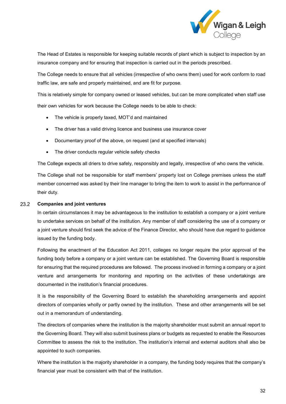

The Head of Estates is responsible for keeping suitable records of plant which is subject to inspection by an insurance company and for ensuring that inspection is carried out in the periods prescribed.

The College needs to ensure that all vehicles (irrespective of who owns them) used for work conform to road traffic law, are safe and properly maintained, and are fit for purpose.

This is relatively simple for company owned or leased vehicles, but can be more complicated when staff use their own vehicles for work because the College needs to be able to check:

- The vehicle is properly taxed, MOT'd and maintained
- The driver has a valid driving licence and business use insurance cover
- Documentary proof of the above, on request (and at specified intervals)
- The driver conducts regular vehicle safety checks

The College expects all driers to drive safely, responsibly and legally, irrespective of who owns the vehicle.

The College shall not be responsible for staff members' property lost on College premises unless the staff member concerned was asked by their line manager to bring the item to work to assist in the performance of their duty.

#### 23.2 **Companies and joint ventures**

In certain circumstances it may be advantageous to the institution to establish a company or a joint venture to undertake services on behalf of the institution. Any member of staff considering the use of a company or a joint venture should first seek the advice of the Finance Director, who should have due regard to guidance issued by the funding body.

Following the enactment of the Education Act 2011, colleges no longer require the prior approval of the funding body before a company or a joint venture can be established. The Governing Board is responsible for ensuring that the required procedures are followed. The process involved in forming a company or a joint venture and arrangements for monitoring and reporting on the activities of these undertakings are documented in the institution's financial procedures.

It is the responsibility of the Governing Board to establish the shareholding arrangements and appoint directors of companies wholly or partly owned by the institution. These and other arrangements will be set out in a memorandum of understanding.

The directors of companies where the institution is the majority shareholder must submit an annual report to the Governing Board. They will also submit business plans or budgets as requested to enable the Resources Committee to assess the risk to the institution. The institution's internal and external auditors shall also be appointed to such companies.

Where the institution is the majority shareholder in a company, the funding body requires that the company's financial year must be consistent with that of the institution.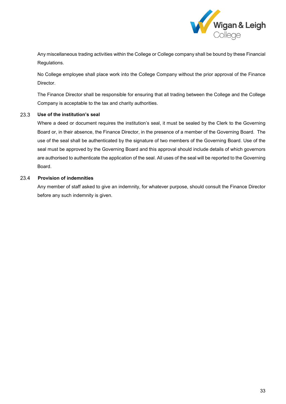

Any miscellaneous trading activities within the College or College company shall be bound by these Financial Regulations.

No College employee shall place work into the College Company without the prior approval of the Finance Director.

The Finance Director shall be responsible for ensuring that all trading between the College and the College Company is acceptable to the tax and charity authorities.

#### **Use of the institution's seal** 23.3

Where a deed or document requires the institution's seal, it must be sealed by the Clerk to the Governing Board or, in their absence, the Finance Director, in the presence of a member of the Governing Board. The use of the seal shall be authenticated by the signature of two members of the Governing Board. Use of the seal must be approved by the Governing Board and this approval should include details of which governors are authorised to authenticate the application of the seal. All uses of the seal will be reported to the Governing Board.

#### 23.4 **Provision of indemnities**

Any member of staff asked to give an indemnity, for whatever purpose, should consult the Finance Director before any such indemnity is given.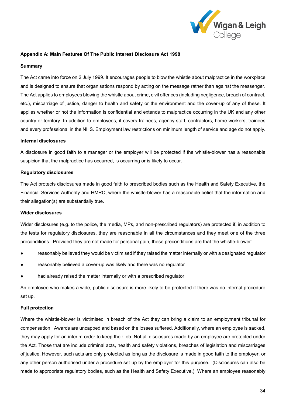

## <span id="page-34-0"></span>**Appendix A: Main Features Of The Public Interest Disclosure Act 1998**

### **Summary**

The Act came into force on 2 July 1999. It encourages people to blow the whistle about malpractice in the workplace and is designed to ensure that organisations respond by acting on the message rather than against the messenger. The Act applies to employees blowing the whistle about crime, civil offences (including negligence, breach of contract, etc.), miscarriage of justice, danger to health and safety or the environment and the cover-up of any of these. It applies whether or not the information is confidential and extends to malpractice occurring in the UK and any other country or territory. In addition to employees, it covers trainees, agency staff, contractors, home workers, trainees and every professional in the NHS. Employment law restrictions on minimum length of service and age do not apply.

## **Internal disclosures**

A disclosure in good faith to a manager or the employer will be protected if the whistle-blower has a reasonable suspicion that the malpractice has occurred, is occurring or is likely to occur.

### **Regulatory disclosures**

The Act protects disclosures made in good faith to prescribed bodies such as the Health and Safety Executive, the Financial Services Authority and HMRC, where the whistle-blower has a reasonable belief that the information and their allegation(s) are substantially true.

### **Wider disclosures**

Wider disclosures (e.g. to the police, the media, MPs, and non-prescribed regulators) are protected if, in addition to the tests for regulatory disclosures, they are reasonable in all the circumstances and they meet one of the three preconditions. Provided they are not made for personal gain, these preconditions are that the whistle-blower:

- reasonably believed they would be victimised if they raised the matter internally or with a designated regulator
- reasonably believed a cover-up was likely and there was no regulator
- had already raised the matter internally or with a prescribed regulator.

An employee who makes a wide, public disclosure is more likely to be protected if there was no internal procedure set up.

## **Full protection**

Where the whistle-blower is victimised in breach of the Act they can bring a claim to an employment tribunal for compensation. Awards are uncapped and based on the losses suffered. Additionally, where an employee is sacked, they may apply for an interim order to keep their job. Not all disclosures made by an employee are protected under the Act. Those that are include criminal acts, health and safety violations, breaches of legislation and miscarriages of justice. However, such acts are only protected as long as the disclosure is made in good faith to the employer, or any other person authorised under a procedure set up by the employer for this purpose. (Disclosures can also be made to appropriate regulatory bodies, such as the Health and Safety Executive.) Where an employee reasonably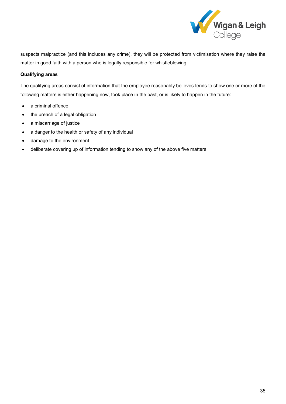

suspects malpractice (and this includes any crime), they will be protected from victimisation where they raise the matter in good faith with a person who is legally responsible for whistleblowing.

## **Qualifying areas**

The qualifying areas consist of information that the employee reasonably believes tends to show one or more of the following matters is either happening now, took place in the past, or is likely to happen in the future:

- a criminal offence
- the breach of a legal obligation
- a miscarriage of justice
- a danger to the health or safety of any individual
- damage to the environment
- deliberate covering up of information tending to show any of the above five matters.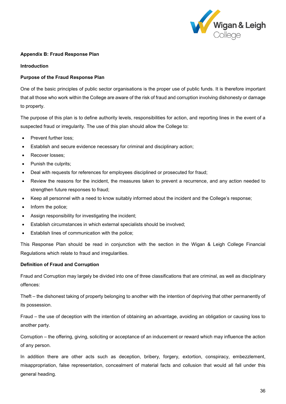

## <span id="page-36-0"></span>**Appendix B: Fraud Response Plan**

### **Introduction**

## **Purpose of the Fraud Response Plan**

One of the basic principles of public sector organisations is the proper use of public funds. It is therefore important that all those who work within the College are aware of the risk of fraud and corruption involving dishonesty or damage to property.

The purpose of this plan is to define authority levels, responsibilities for action, and reporting lines in the event of a suspected fraud or irregularity. The use of this plan should allow the College to:

- Prevent further loss;
- Establish and secure evidence necessary for criminal and disciplinary action;
- Recover losses;
- Punish the culprits;
- Deal with requests for references for employees disciplined or prosecuted for fraud;
- Review the reasons for the incident, the measures taken to prevent a recurrence, and any action needed to strengthen future responses to fraud;
- Keep all personnel with a need to know suitably informed about the incident and the College's response;
- Inform the police;
- Assign responsibility for investigating the incident;
- Establish circumstances in which external specialists should be involved;
- Establish lines of communication with the police;

This Response Plan should be read in conjunction with the section in the Wigan & Leigh College Financial Regulations which relate to fraud and irregularities.

## **Definition of Fraud and Corruption**

Fraud and Corruption may largely be divided into one of three classifications that are criminal, as well as disciplinary offences:

Theft – the dishonest taking of property belonging to another with the intention of depriving that other permanently of its possession.

Fraud – the use of deception with the intention of obtaining an advantage, avoiding an obligation or causing loss to another party.

Corruption – the offering, giving, soliciting or acceptance of an inducement or reward which may influence the action of any person.

In addition there are other acts such as deception, bribery, forgery, extortion, conspiracy, embezzlement, misappropriation, false representation, concealment of material facts and collusion that would all fall under this general heading.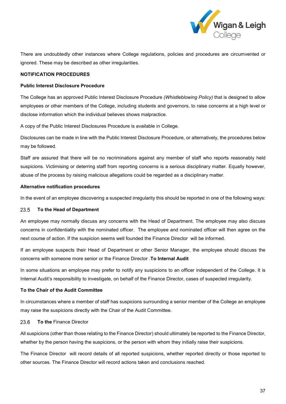

There are undoubtedly other instances where College regulations, policies and procedures are circumvented or ignored. These may be described as other irregularities.

## **NOTIFICATION PROCEDURES**

### **Public Interest Disclosure Procedure**

The College has an approved Public Interest Disclosure Procedure *(Whistleblowing Policy)* that is designed to allow employees or other members of the College, including students and governors, to raise concerns at a high level or disclose information which the individual believes shows malpractice.

A copy of the Public Interest Disclosures Procedure is available in College.

Disclosures can be made in line with the Public Interest Disclosure Procedure, or alternatively, the procedures below may be followed.

Staff are assured that there will be no recriminations against any member of staff who reports reasonably held suspicions. Victimising or deterring staff from reporting concerns is a serious disciplinary matter. Equally however, abuse of the process by raising malicious allegations could be regarded as a disciplinary matter.

## **Alternative notification procedures**

In the event of an employee discovering a suspected irregularity this should be reported in one of the following ways:

#### **To the Head of Department** 23.5

An employee may normally discuss any concerns with the Head of Department. The employee may also discuss concerns in confidentiality with the nominated officer. The employee and nominated officer will then agree on the next course of action. If the suspicion seems well founded the Finance Director will be informed.

If an employee suspects their Head of Department or other Senior Manager, the employee should discuss the concerns with someone more senior or the Finance Director .**To Internal Audit**

In some situations an employee may prefer to notify any suspicions to an officer independent of the College. It is Internal Audit's responsibility to investigate, on behalf of the Finance Director, cases of suspected irregularity.

### **To the Chair of the Audit Committee**

In circumstances where a member of staff has suspicions surrounding a senior member of the College an employee may raise the suspicions directly with the Chair of the Audit Committee.

#### 23.6 **To the** Finance Director

All suspicions (other than those relating to the Finance Director) should ultimately be reported to the Finance Director, whether by the person having the suspicions, or the person with whom they initially raise their suspicions.

The Finance Director will record details of all reported suspicions, whether reported directly or those reported to other sources. The Finance Director will record actions taken and conclusions reached.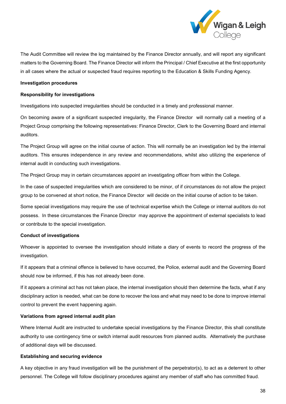

The Audit Committee will review the log maintained by the Finance Director annually, and will report any significant matters to the Governing Board. The Finance Director will inform the Principal / Chief Executive at the first opportunity in all cases where the actual or suspected fraud requires reporting to the Education & Skills Funding Agency.

## **Investigation procedures**

### **Responsibility for investigations**

Investigations into suspected irregularities should be conducted in a timely and professional manner.

On becoming aware of a significant suspected irregularity, the Finance Director will normally call a meeting of a Project Group comprising the following representatives: Finance Director, Clerk to the Governing Board and internal auditors.

The Project Group will agree on the initial course of action. This will normally be an investigation led by the internal auditors. This ensures independence in any review and recommendations, whilst also utilizing the experience of internal audit in conducting such investigations.

The Project Group may in certain circumstances appoint an investigating officer from within the College.

In the case of suspected irregularities which are considered to be minor, of if circumstances do not allow the project group to be convened at short notice, the Finance Director will decide on the initial course of action to be taken.

Some special investigations may require the use of technical expertise which the College or internal auditors do not possess. In these circumstances the Finance Director may approve the appointment of external specialists to lead or contribute to the special investigation.

### **Conduct of investigations**

Whoever is appointed to oversee the investigation should initiate a diary of events to record the progress of the investigation.

If it appears that a criminal offence is believed to have occurred, the Police, external audit and the Governing Board should now be informed, if this has not already been done.

If it appears a criminal act has not taken place, the internal investigation should then determine the facts, what if any disciplinary action is needed, what can be done to recover the loss and what may need to be done to improve internal control to prevent the event happening again.

### **Variations from agreed internal audit plan**

Where Internal Audit are instructed to undertake special investigations by the Finance Director, this shall constitute authority to use contingency time or switch internal audit resources from planned audits. Alternatively the purchase of additional days will be discussed.

## **Establishing and securing evidence**

A key objective in any fraud investigation will be the punishment of the perpetrator(s), to act as a deterrent to other personnel. The College will follow disciplinary procedures against any member of staff who has committed fraud.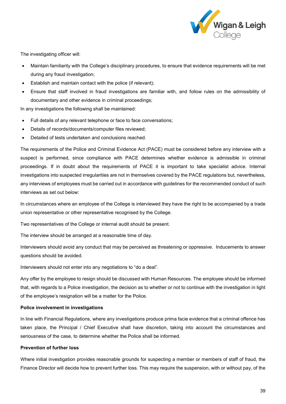

The investigating officer will:

- Maintain familiarity with the College's disciplinary procedures, to ensure that evidence requirements will be met during any fraud investigation;
- Establish and maintain contact with the police (if relevant);
- Ensure that staff involved in fraud investigations are familiar with, and follow rules on the admissibility of documentary and other evidence in criminal proceedings;

In any investigations the following shall be maintained:

- Full details of any relevant telephone or face to face conversations;
- Details of records/documents/computer files reviewed;
- Detailed of tests undertaken and conclusions reached.

The requirements of the Police and Criminal Evidence Act (PACE) must be considered before any interview with a suspect is performed, since compliance with PACE determines whether evidence is admissible in criminal proceedings. If in doubt about the requirements of PACE it is important to take specialist advice. Internal investigations into suspected irregularities are not in themselves covered by the PACE regulations but, nevertheless, any interviews of employees must be carried out in accordance with guidelines for the recommended conduct of such interviews as set out below:

In circumstances where an employee of the College is interviewed they have the right to be accompanied by a trade union representative or other representative recognised by the College.

Two representatives of the College or internal audit should be present.

The interview should be arranged at a reasonable time of day.

Interviewers should avoid any conduct that may be perceived as threatening or oppressive. Inducements to answer questions should be avoided.

Interviewers should not enter into any negotiations to "do a deal".

Any offer by the employee to resign should be discussed with Human Resources. The employee should be informed that, with regards to a Police investigation, the decision as to whether or not to continue with the investigation in light of the employee's resignation will be a matter for the Police.

## **Police involvement in investigations**

In line with Financial Regulations, where any investigations produce prima facie evidence that a criminal offence has taken place, the Principal / Chief Executive shall have discretion, taking into account the circumstances and seriousness of the case, to determine whether the Police shall be informed.

# **Prevention of further loss**

Where initial investigation provides reasonable grounds for suspecting a member or members of staff of fraud, the Finance Director will decide how to prevent further loss. This may require the suspension, with or without pay, of the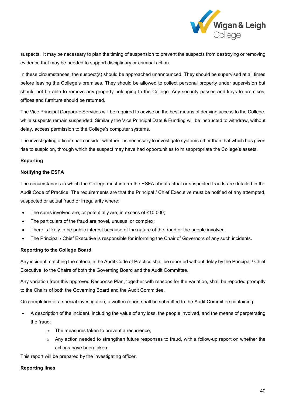

suspects. It may be necessary to plan the timing of suspension to prevent the suspects from destroying or removing evidence that may be needed to support disciplinary or criminal action.

In these circumstances, the suspect(s) should be approached unannounced. They should be supervised at all times before leaving the College's premises. They should be allowed to collect personal property under supervision but should not be able to remove any property belonging to the College. Any security passes and keys to premises, offices and furniture should be returned.

The Vice Principal Corporate Services will be required to advise on the best means of denying access to the College, while suspects remain suspended. Similarly the Vice Principal Date & Funding will be instructed to withdraw, without delay, access permission to the College's computer systems.

The investigating officer shall consider whether it is necessary to investigate systems other than that which has given rise to suspicion, through which the suspect may have had opportunities to misappropriate the College's assets.

## **Reporting**

### **Notifying the ESFA**

The circumstances in which the College must inform the ESFA about actual or suspected frauds are detailed in the Audit Code of Practice. The requirements are that the Principal / Chief Executive must be notified of any attempted, suspected or actual fraud or irregularity where:

- The sums involved are, or potentially are, in excess of £10,000;
- The particulars of the fraud are novel, unusual or complex;
- There is likely to be public interest because of the nature of the fraud or the people involved.
- The Principal / Chief Executive is responsible for informing the Chair of Governors of any such incidents.

### **Reporting to the College Board**

Any incident matching the criteria in the Audit Code of Practice shall be reported without delay by the Principal / Chief Executive to the Chairs of both the Governing Board and the Audit Committee.

Any variation from this approved Response Plan, together with reasons for the variation, shall be reported promptly to the Chairs of both the Governing Board and the Audit Committee.

On completion of a special investigation, a written report shall be submitted to the Audit Committee containing:

- A description of the incident, including the value of any loss, the people involved, and the means of perpetrating the fraud;
	- o The measures taken to prevent a recurrence;
	- $\circ$  Any action needed to strengthen future responses to fraud, with a follow-up report on whether the actions have been taken.

This report will be prepared by the investigating officer.

## **Reporting lines**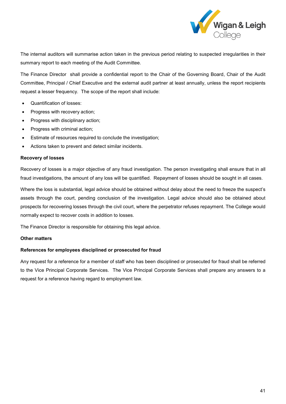

The internal auditors will summarise action taken in the previous period relating to suspected irregularities in their summary report to each meeting of the Audit Committee.

The Finance Director shall provide a confidential report to the Chair of the Governing Board, Chair of the Audit Committee, Principal / Chief Executive and the external audit partner at least annually, unless the report recipients request a lesser frequency. The scope of the report shall include:

- Quantification of losses:
- Progress with recovery action:
- Progress with disciplinary action;
- Progress with criminal action:
- Estimate of resources required to conclude the investigation;
- Actions taken to prevent and detect similar incidents.

### **Recovery of losses**

Recovery of losses is a major objective of any fraud investigation. The person investigating shall ensure that in all fraud investigations, the amount of any loss will be quantified. Repayment of losses should be sought in all cases.

Where the loss is substantial, legal advice should be obtained without delay about the need to freeze the suspect's assets through the court, pending conclusion of the investigation. Legal advice should also be obtained about prospects for recovering losses through the civil court, where the perpetrator refuses repayment. The College would normally expect to recover costs in addition to losses.

The Finance Director is responsible for obtaining this legal advice.

### **Other matters**

# **References for employees disciplined or prosecuted for fraud**

Any request for a reference for a member of staff who has been disciplined or prosecuted for fraud shall be referred to the Vice Principal Corporate Services. The Vice Principal Corporate Services shall prepare any answers to a request for a reference having regard to employment law.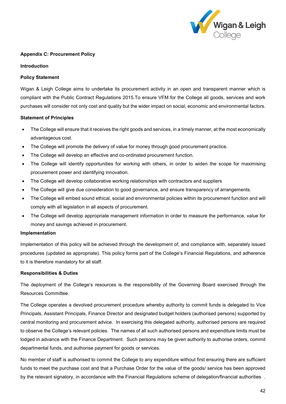

## <span id="page-42-0"></span>**Appendix C: Procurement Policy**

## **Introduction**

## **Policy Statement**

Wigan & Leigh College aims to undertake its procurement activity in an open and transparent manner which is compliant with the Public Contract Regulations 2015.To ensure VFM for the College all goods, services and work purchases will consider not only cost and quality but the wider impact on social, economic and environmental factors.

### **Statement of Principles**

- The College will ensure that it receives the right goods and services, in a timely manner, at the most economically advantageous cost.
- The College will promote the delivery of value for money through good procurement practice.
- The College will develop an effective and co-ordinated procurement function.
- The College will identify opportunities for working with others, in order to widen the scope for maximising procurement power and identifying innovation.
- The College will develop collaborative working relationships with contractors and suppliers
- The College will give due consideration to good governance, and ensure transparency of arrangements.
- The College will embed sound ethical, social and environmental policies within its procurement function and will comply with all legislation in all aspects of procurement.
- The College will develop appropriate management information in order to measure the performance, value for money and savings achieved in procurement.

### **Implementation**

Implementation of this policy will be achieved through the development of, and compliance with, separately issued procedures (updated as appropriate). This policy forms part of the College's Financial Regulations, and adherence to it is therefore mandatory for all staff.

## **Responsibilities & Duties**

The deployment of the College's resources is the responsibility of the Governing Board exercised through the Resources Committee.

The College operates a devolved procurement procedure whereby authority to commit funds is delegated to Vice Principals, Assistant Principals, Finance Director and designated budget holders (authorised persons) supported by central monitoring and procurement advice. In exercising this delegated authority, authorised persons are required to observe the College's relevant policies. The names of all such authorised persons and expenditure limits must be lodged in advance with the Finance Department. Such persons may be given authority to authorise orders, commit departmental funds, and authorise payment for goods or services.

No member of staff is authorised to commit the College to any expenditure without first ensuring there are sufficient funds to meet the purchase cost and that a Purchase Order for the value of the goods/ service has been approved by the relevant signatory, in accordance with the Financial Regulations scheme of delegation/financial authorities .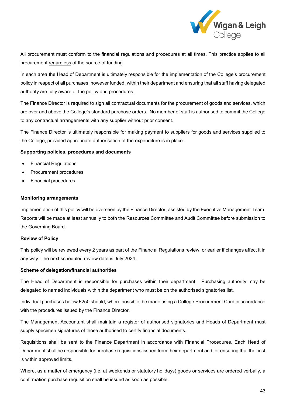

All procurement must conform to the financial regulations and procedures at all times. This practice applies to all procurement regardless of the source of funding.

In each area the Head of Department is ultimately responsible for the implementation of the College's procurement policy in respect of all purchases, however funded, within their department and ensuring that all staff having delegated authority are fully aware of the policy and procedures.

The Finance Director is required to sign all contractual documents for the procurement of goods and services, which are over and above the College's standard purchase orders. No member of staff is authorised to commit the College to any contractual arrangements with any supplier without prior consent.

The Finance Director is ultimately responsible for making payment to suppliers for goods and services supplied to the College, provided appropriate authorisation of the expenditure is in place.

## **Supporting policies, procedures and documents**

- Financial Regulations
- Procurement procedures
- Financial procedures

### **Monitoring arrangements**

Implementation of this policy will be overseen by the Finance Director, assisted by the Executive Management Team. Reports will be made at least annually to both the Resources Committee and Audit Committee before submission to the Governing Board.

### **Review of Policy**

This policy will be reviewed every 2 years as part of the Financial Regulations review, or earlier if changes affect it in any way. The next scheduled review date is July 2024.

### **Scheme of delegation/financial authorities**

The Head of Department is responsible for purchases within their department. Purchasing authority may be delegated to named individuals within the department who must be on the authorised signatories list.

Individual purchases below £250 should, where possible, be made using a College Procurement Card in accordance with the procedures issued by the Finance Director.

The Management Accountant shall maintain a register of authorised signatories and Heads of Department must supply specimen signatures of those authorised to certify financial documents.

Requisitions shall be sent to the Finance Department in accordance with Financial Procedures. Each Head of Department shall be responsible for purchase requisitions issued from their department and for ensuring that the cost is within approved limits.

Where, as a matter of emergency (i.e. at weekends or statutory holidays) goods or services are ordered verbally, a confirmation purchase requisition shall be issued as soon as possible.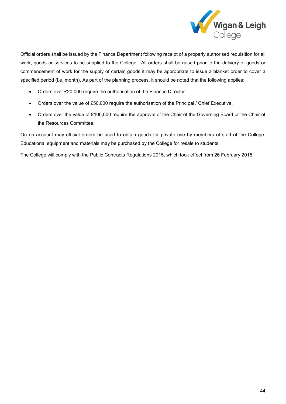

Official orders shall be issued by the Finance Department following receipt of a properly authorised requisition for all work, goods or services to be supplied to the College. All orders shall be raised prior to the delivery of goods or commencement of work for the supply of certain goods it may be appropriate to issue a blanket order to cover a specified period (i.e. month). As part of the planning process, it should be noted that the following applies:

- Orders over £20,000 require the authorisation of the Finance Director .
- Orders over the value of £50,000 require the authorisation of the Principal / Chief Executive.
- Orders over the value of £100,000 require the approval of the Chair of the Governing Board or the Chair of the Resources Committee.

On no account may official orders be used to obtain goods for private use by members of staff of the College. Educational equipment and materials may be purchased by the College for resale to students.

The College will comply with the Public Contracts Regulations 2015, which took effect from 26 February 2015.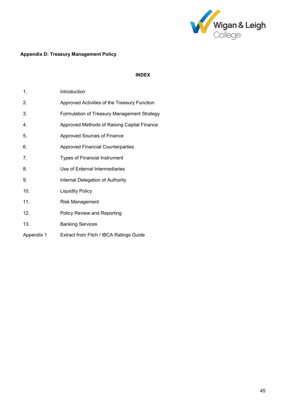

# <span id="page-45-0"></span>**Appendix D: Treasury Management Policy**

# **INDEX**

| 1.         | Introduction                                 |
|------------|----------------------------------------------|
| 2.         | Approved Activities of the Treasury Function |
| 3.         | Formulation of Treasury Management Strategy  |
| 4.         | Approved Methods of Raising Capital Finance  |
| 5.         | Approved Sources of Finance                  |
| 6.         | <b>Approved Financial Counterparties</b>     |
| 7.         | <b>Types of Financial Instrument</b>         |
| 8.         | Use of External Intermediaries               |
| 9.         | Internal Delegation of Authority             |
| 10.        | <b>Liquidity Policy</b>                      |
| 11.        | <b>Risk Management</b>                       |
| 12.        | <b>Policy Review and Reporting</b>           |
| 13.        | <b>Banking Services</b>                      |
| Appendix 1 | Extract from Fitch / IBCA Ratings Guide      |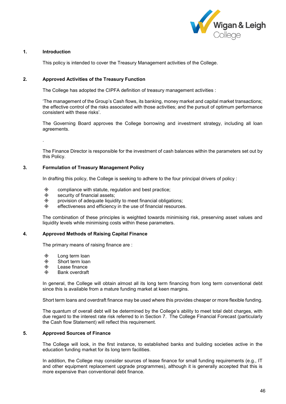

### **1. Introduction**

This policy is intended to cover the Treasury Management activities of the College.

### **2. Approved Activities of the Treasury Function**

The College has adopted the CIPFA definition of treasury management activities :

'The management of the Group's Cash flows, its banking, money market and capital market transactions; the effective control of the risks associated with those activities; and the pursuit of optimum performance consistent with these risks'.

The Governing Board approves the College borrowing and investment strategy, including all loan agreements.

.

The Finance Director is responsible for the investment of cash balances within the parameters set out by this Policy.

## **3. Formulation of Treasury Management Policy**

In drafting this policy, the College is seeking to adhere to the four principal drivers of policy :

- $\diamond$  compliance with statute, regulation and best practice;<br> $\diamond$  security of financial assets:
- security of financial assets;
- $\Diamond$  provision of adequate liquidity to meet financial obligations;<br> $\Diamond$  effectiveness and efficiency in the use of financial resources
- effectiveness and efficiency in the use of financial resources.

The combination of these principles is weighted towards minimising risk, preserving asset values and liquidity levels while minimising costs within these parameters.

### **4. Approved Methods of Raising Capital Finance**

The primary means of raising finance are :

- **♦ Long term loan**<br>♦ Short term loan
- Short term loan
- ◈ Lease finance<br>◈ Bank overdraft
- Bank overdraft

In general, the College will obtain almost all its long term financing from long term conventional debt since this is available from a mature funding market at keen margins.

Short term loans and overdraft finance may be used where this provides cheaper or more flexible funding.

The quantum of overall debt will be determined by the College's ability to meet total debt charges, with due regard to the interest rate risk referred to in Section 7. The College Financial Forecast (particularly the Cash flow Statement) will reflect this requirement.

## **5. Approved Sources of Finance**

The College will look, in the first instance, to established banks and building societies active in the education funding market for its long term facilities.

In addition, the College may consider sources of lease finance for small funding requirements (e.g., IT and other equipment replacement upgrade programmes), although it is generally accepted that this is more expensive than conventional debt finance.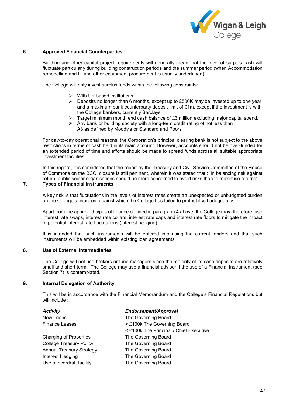

### **6. Approved Financial Counterparties**

Building and other capital project requirements will generally mean that the level of surplus cash will fluctuate particularly during building construction periods and the summer period (when Accommodation remodelling and IT and other equipment procurement is usually undertaken).

The College will only invest surplus funds within the following constraints:

- $\triangleright$  With UK based institutions
- $\triangleright$  Deposits no longer than 6 months, except up to £500K may be invested up to one year and a maximum bank counterparty deposit limit of £1m, except if the investment is with the College bankers, currently Barclays
- $\triangleright$  Target minimum month end cash balance of £3 million excluding major capital spend.
- $\triangleright$  Any bank or building society with a long-term credit rating of not less than A3 as defined by Moody's or Standard and Poors

For day-to-day operational reasons, the Corporation's principal clearing bank is not subject to the above restrictions in terms of cash held in its main account. However, accounts should not be over-funded for an extended period of time and efforts should be made to spread funds across all suitable appropriate investment facilities.

In this regard, it is considered that the report by the Treasury and Civil Service Committee of the House of Commons on the BCCI closure is still pertinent, wherein it was stated that : 'In balancing risk against return, public sector organisations should be more concerned to avoid risks than to maximise returns'.

## **7. Types of Financial Instruments**

A key risk is that fluctuations in the levels of interest rates create an unexpected or unbudgeted burden on the College's finances, against which the College has failed to protect itself adequately.

Apart from the approved types of finance outlined in paragraph 4 above, the College may, therefore, use interest rate swaps, interest rate collars, interest rate caps and interest rate floors to mitigate the impact of potential interest rate fluctuations (interest hedging).

It is intended that such instruments will be entered into using the current lenders and that such instruments will be embedded within existing loan agreements.

### **8. Use of External Intermediaries**

The College will not use brokers or fund managers since the majority of its cash deposits are relatively small and short term. The College may use a financial advisor if the use of a Financial Instrument (see Section 7) is contemplated.

## **9. Internal Delegation of Authority**

This will be in accordance with the Financial Memorandum and the College's Financial Regulations but will include :

| <b>Activity</b>                 | Endorsement/Approval                    |
|---------------------------------|-----------------------------------------|
| New Loans                       | The Governing Board                     |
| <b>Finance Leases</b>           | > £100k The Governing Board             |
|                                 | < £100k The Principal / Chief Executive |
| <b>Charging of Properties</b>   | The Governing Board                     |
| <b>College Treasury Policy</b>  | The Governing Board                     |
| <b>Annual Treasury Strategy</b> | The Governing Board                     |
| Interest Hedging                | The Governing Board                     |
| Use of overdraft facility       | The Governing Board                     |
|                                 |                                         |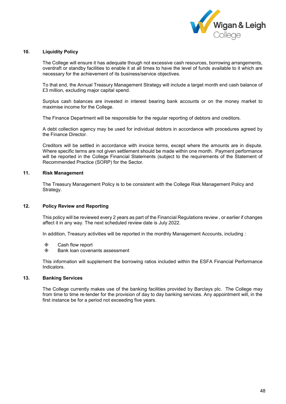

## **10. Liquidity Policy**

The College will ensure it has adequate though not excessive cash resources, borrowing arrangements, overdraft or standby facilities to enable it at all times to have the level of funds available to it which are necessary for the achievement of its business/service objectives.

To that end, the Annual Treasury Management Strategy will include a target month end cash balance of £3 million, excluding major capital spend.

Surplus cash balances are invested in interest bearing bank accounts or on the money market to maximise income for the College.

The Finance Department will be responsible for the regular reporting of debtors and creditors.

A debt collection agency may be used for individual debtors in accordance with procedures agreed by the Finance Director.

Creditors will be settled in accordance with invoice terms, except where the amounts are in dispute. Where specific terms are not given settlement should be made within one month. Payment performance will be reported in the College Financial Statements (subject to the requirements of the Statement of Recommended Practice (SORP) for the Sector.

## **11. Risk Management**

The Treasury Management Policy is to be consistent with the College Risk Management Policy and Strategy.

## **12. Policy Review and Reporting**

This policy will be reviewed every 2 years as part of the Financial Regulations review , or earlier if changes affect it in any way. The next scheduled review date is July 2022.

In addition, Treasury activities will be reported in the monthly Management Accounts, including :

- Cash flow report
- $\Diamond$  Bank loan covenants assessment

This information will supplement the borrowing ratios included within the ESFA Financial Performance Indicators.

### **13. Banking Services**

The College currently makes use of the banking facilities provided by Barclays plc. The College may from time to time re-tender for the provision of day to day banking services. Any appointment will, in the first instance be for a period not exceeding five years.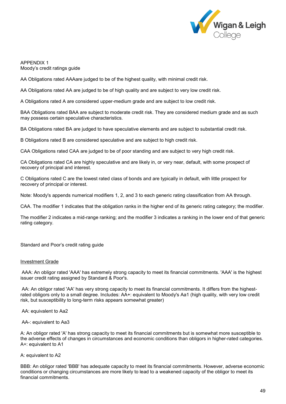

APPENDIX 1 Moody's credit ratings guide

AA Obligations rated AAAare judged to be of the highest quality, with minimal credit risk.

AA Obligations rated AA are judged to be of high quality and are subject to very low credit risk.

A Obligations rated A are considered upper-medium grade and are subject to low credit risk.

BAA Obligations rated BAA are subject to moderate credit risk. They are considered medium grade and as such may possess certain speculative characteristics.

BA Obligations rated BA are judged to have speculative elements and are subject to substantial credit risk.

B Obligations rated B are considered speculative and are subject to high credit risk.

CAA Obligations rated CAA are judged to be of poor standing and are subject to very high credit risk.

CA Obligations rated CA are highly speculative and are likely in, or very near, default, with some prospect of recovery of principal and interest.

C Obligations rated C are the lowest rated class of bonds and are typically in default, with little prospect for recovery of principal or interest.

Note: Moody's appends numerical modifiers 1, 2, and 3 to each generic rating classification from AA through.

CAA. The modifier 1 indicates that the obligation ranks in the higher end of its generic rating category; the modifier.

The modifier 2 indicates a mid-range ranking; and the modifier 3 indicates a ranking in the lower end of that generic rating category.

Standard and Poor's credit rating guide

### Investment Grade

AAA: An obligor rated 'AAA' has extremely strong capacity to meet its financial commitments. 'AAA' is the highest issuer credit rating assigned by Standard & Poor's.

AA: An obligor rated 'AA' has very strong capacity to meet its financial commitments. It differs from the highestrated obligors only to a small degree. Includes: AA+: equivalent to Moody's Aa1 (high quality, with very low credit risk, but susceptibility to long-term risks appears somewhat greater)

AA: equivalent to Aa2

AA-: equivalent to Aa3

A: An obligor rated 'A' has strong capacity to meet its financial commitments but is somewhat more susceptible to the adverse effects of changes in circumstances and economic conditions than obligors in higher-rated categories. A+: equivalent to A1

A: equivalent to A2

BBB: An obligor rated 'BBB' has adequate capacity to meet its financial commitments. However, adverse economic conditions or changing circumstances are more likely to lead to a weakened capacity of the obligor to meet its financial commitments.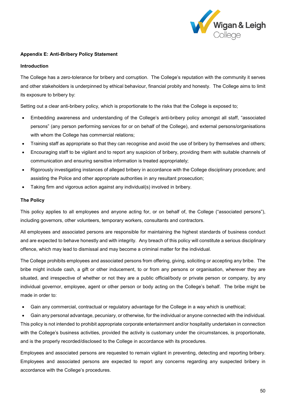

# <span id="page-50-0"></span>**Appendix E: Anti-Bribery Policy Statement**

## **Introduction**

The College has a zero-tolerance for bribery and corruption. The College's reputation with the community it serves and other stakeholders is underpinned by ethical behaviour, financial probity and honesty. The College aims to limit its exposure to bribery by:

Setting out a clear anti-bribery policy, which is proportionate to the risks that the College is exposed to;

- Embedding awareness and understanding of the College's anti-bribery policy amongst all staff, "associated persons" (any person performing services for or on behalf of the College), and external persons/organisations with whom the College has commercial relations;
- Training staff as appropriate so that they can recognise and avoid the use of bribery by themselves and others;
- Encouraging staff to be vigilant and to report any suspicion of bribery, providing them with suitable channels of communication and ensuring sensitive information is treated appropriately;
- Rigorously investigating instances of alleged bribery in accordance with the College disciplinary procedure; and assisting the Police and other appropriate authorities in any resultant prosecution;
- Taking firm and vigorous action against any individual(s) involved in bribery.

## **The Policy**

This policy applies to all employees and anyone acting for, or on behalf of, the College ("associated persons"), including governors, other volunteers, temporary workers, consultants and contractors.

All employees and associated persons are responsible for maintaining the highest standards of business conduct and are expected to behave honestly and with integrity. Any breach of this policy will constitute a serious disciplinary offence, which may lead to dismissal and may become a criminal matter for the individual.

The College prohibits employees and associated persons from offering, giving, soliciting or accepting any bribe. The bribe might include cash, a gift or other inducement, to or from any persons or organisation, wherever they are situated, and irrespective of whether or not they are a public official/body or private person or company, by any individual governor, employee, agent or other person or body acting on the College's behalf. The bribe might be made in order to:

• Gain any commercial, contractual or regulatory advantage for the College in a way which is unethical;

• Gain any personal advantage, pecuniary, or otherwise, for the individual or anyone connected with the individual. This policy is not intended to prohibit appropriate corporate entertainment and/or hospitality undertaken in connection with the College's business activities, provided the activity is customary under the circumstances, is proportionate, and is the properly recorded/disclosed to the College in accordance with its procedures.

Employees and associated persons are requested to remain vigilant in preventing, detecting and reporting bribery. Employees and associated persons are expected to report any concerns regarding any suspected bribery in accordance with the College's procedures.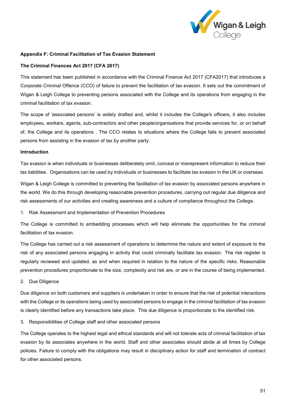

## **Appendix F: Criminal Facilitation of Tax Evasion Statement**

## **The Criminal Finances Act 2017 (CFA 2017)**

This statement has been published in accordance with the Criminal Finance Act 2017 (CFA2017) that introduces a Corporate Criminal Offence (CCO) of failure to prevent the facilitation of tax evasion. It sets out the commitment of Wigan & Leigh College to preventing persons associated with the College and its operations from engaging in the criminal facilitation of tax evasion.

The scope of 'associated persons' is widely drafted and, whilst it includes the College's officers, it also includes employees, workers, agents, sub-contractors and other people/organisations that provide services for, or on behalf of, the College and its operations . The CCO relates to situations where the College fails to prevent associated persons from assisting in the evasion of tax by another party.

### **Introduction**

Tax evasion is when individuals or businesses deliberately omit, conceal or misrepresent information to reduce their tax liabilities. Organisations can be used by individuals or businesses to facilitate tax evasion in the UK or overseas.

Wigan & Leigh College is committed to preventing the facilitation of tax evasion by associated persons anywhere in the world. We do this through developing reasonable prevention procedures, carrying out regular due diligence and risk assessments of our activities and creating awareness and a culture of compliance throughout the College.

1. Risk Assessment and Implementation of Prevention Procedures

The College is committed to embedding processes which will help eliminate the opportunities for the criminal facilitation of tax evasion.

The College has carried out a risk assessment of operations to determine the nature and extent of exposure to the risk of any associated persons engaging in activity that could criminally facilitate tax evasion. The risk register is regularly reviewed and updated, as and when required in relation to the nature of the specific risks. Reasonable prevention procedures proportionate to the size, complexity and risk are, or are in the course of being implemented.

2. Due Diligence

Due diligence on both customers and suppliers is undertaken in order to ensure that the risk of potential interactions with the College or its operations being used by associated persons to engage in the criminal facilitation of tax evasion is clearly identified before any transactions take place. This due diligence is proportionate to the identified risk.

3. Responsibilities of College staff and other associated persons

The College operates to the highest legal and ethical standards and will not tolerate acts of criminal facilitation of tax evasion by its associates anywhere in the world. Staff and other associates should abide at all times by College policies. Failure to comply with the obligations may result in disciplinary action for staff and termination of contract for other associated persons.